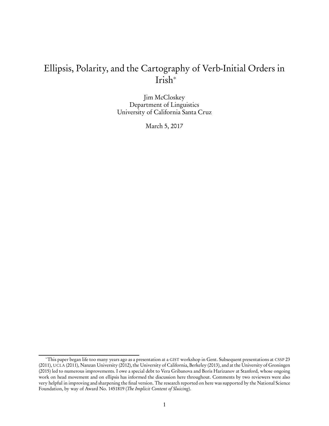# Ellipsis, Polarity, and the Cartography of Verb-Initial Orders in Irish<sup>∗</sup>

Jim McCloskey Department of Linguistics University of California Santa Cruz

March 5, 2017

<sup>∗</sup>This paper began life too many years ago as a presentation at a GIST workshop in Gent. Subsequent presentations at CSSP 23 (2011), UCLA (2011), Nanzan University (2012), the University of California, Berkeley (2013), and at the University of Groningen (2015) led to numerous improvements. I owe a special debt to Vera Gribanova and Boris Harizanov at Stanford, whose ongoing work on head movement and on ellipsis has informed the discussion here throughout. Comments by two reviewers were also very helpful in improving and sharpening the final version. The research reported on here was supported by the National Science Foundation, by way of Award No. 1451819 (The Implicit Content of Sluicing).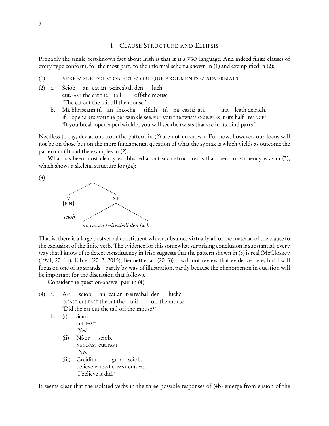# <span id="page-1-2"></span>1 CLAUSE STRUCTURE AND ELLIPSIS

Probably the single best-known fact about Irish is that it is a VSO language. And indeed finite clauses of every type conform, for the most part, to the informal schema shown in (1) and exemplified in (2):

<span id="page-1-0"></span>(1) VERB *<* SUBJECT *<* OBJECT *<* OBLIQUE ARGUMENTS *<* ADVERBIALS

- (2) a. Sciob cut.PAST the cat the tail an cat an t-eireaball den off-the mouse luch. 'The cat cut the tail off the mouse.'
	- b. Má bhriseann tú an fhaocha, tifidh tú na castái atá if open.PRES you the periwinkle see.FUT you the twists <sup>C</sup>-be.PRES in-its half rear.GEN ina leath deiridh. 'If you break open a periwinkle, you will see the twists that are in its hind parts.'

Needless to say, deviations from the pattern in (2) are not unknown. For now, however, our focus will not be on those but on the more fundamental question of what the syntax is which yields as outcome the pattern in (1) and the examples in (2).

What has been most clearly established about such structures is that their constituency is as in (3), which shows a skeletal structure for  $(2a)$ :



<span id="page-1-1"></span>

That is, there is a large postverbal constituent which subsumes virtually all of the material of the clause to the exclusion of the finite verb. The evidence for this somewhat surprising conclusion is substantial; every way that I know of to detect constituency in Irish suggests that the pattern shown in (3) is real [\(McCloskey](#page-35-0) [\(1991](#page-35-0), [2011b](#page-35-1)), [Elfner \(2012,](#page-33-0) [2015\)](#page-33-1), [Bennett et al. \(2013\)](#page-32-0)). I will not review that evidence here, but I will focus on one of its strands – partly by way of illustration, partly because the phenomenon in question will be important for the discussion that follows.

Consider the question-answer pair in (4):

<span id="page-1-3"></span>(4) a. A-r <sup>Q</sup>.PAST cut.PAST the cat the tail sciob an cat an t-eireaball den off-the mouse luch? 'Did the cat cut the tail off the mouse?'

```
b. (i) Sciob.
cut.PAST
```
'Yes'

- (ii) Ní-or NEG.PAST cut.PAST sciob. 'No.'
- (iii) Creidim believe.PRES.S1 <sup>C</sup>.PAST cut.PAST gu-r sciob. 'I believe it did.'

It seems clear that the isolated verbs in the three possible responses of (4b) emerge from elision of the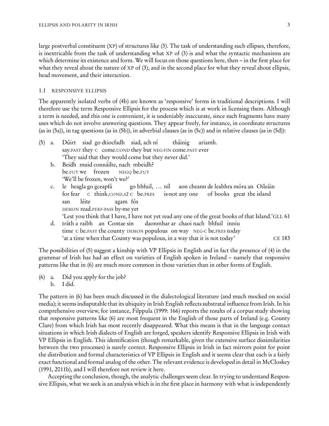large postverbal constituent (XP) of structures like [\(3\).](#page-1-1) The task of understanding such ellipses, therefore, is inextricable from the task of understanding what XP of (3) is and what the syntactic mechanisms are which determine its existence and form. We will focus on those questions here, then – in the first place for what they reveal about the nature of XP of (3), and in the second place for what they reveal about ellipsis, head movement, and their interaction.

#### 1.1 RESPONSIVE ELLIPSIS

The apparently isolated verbs of (4b) are known as 'responsive' forms in traditional descriptions. I will therefore use the term Responsive Ellipsis for the process which is at work in licensing them. Although a term is needed, and this one is convenient, it is undeniably inaccurate, since such fragments have many uses which do not involve answering questions. They appear freely, for instance, in coordinate structures (as in (5a)), in tag questions (as in (5b)), in adverbial clauses (as in (5c)) and in relative clauses (as in (5d)):

- <span id="page-2-0"></span>(5) a. Dúirt siad go dtiocfadh siad, ach ní say.PAST they C come.COND they but NEG-FIN come.PAST ever tháinig ariamh. 'They said that they would come but they never did.'
	- b. Beidh muid connáilte, nach mbeidh? be.FUT we frozen NEGQ be.FUT 'We'll be frozen, won't we?'
	- c. for fear C think.COND.S2 C be.PRES heagla go gceapfá go bhfuil, ... níl aon cheann de leabhra móra an Oileáin is-not any one of books great the island san DEMON read.PERF-PASS by-me yet léite agam fós
		- 'Lest you think that I have, I have not yet read any one of the great books of that Island.'GLL 61
	- d. tráth a raibh an Contae sin time c be.past the county DEMON populous on way NEG-c be.pres today daonmhar ar chaoi nach bhfuil inniu 'at a time when that County was populous, in a way that it is not today' CE 183

<span id="page-2-1"></span>The possibilities of (5) suggest a kinship with VP Ellipsis in English and in fact the presence of (4) in the grammar of Irish has had an effect on varieties of English spoken in Ireland – namely that responsive patterns like that in (6) are much more common in those varieties than in other forms of English.

(6) a. Did you apply for the job? b. I did.

The pattern in (6) has been much discussed in the dialectological literature (and much mocked on social media); it seems indisputable that its ubiquity in Irish English reflects substratal influence from Irish. In his comprehensive overview, for instance, [Filppula \(1999:](#page-33-2) 166) reports the results of a corpus study showing that responsive patterns like (6) are most frequent in the English of those parts of Ireland (e.g. County Clare) from which Irish has most recently disappeared. What this means is that in the language contact situations in which Irish dialects of English are forged, speakers identify Responsive Ellipsis in Irish with VP Ellipsis in English. This identification (though remarkable, given the extensive surface dissimilarities between the two processes) is surely correct. Responsive Ellipsis in Irish in fact mirrors point for point the distribution and formal characteristics of VP Ellipsis in English and it seems clear that each is a fairly exact functional and formal analog of the other. The relevant evidence is developed in detail in [McCloskey](#page-35-0) [\(1991](#page-35-0), [2011b\)](#page-35-1), and I will therefore not review it here.

Accepting the conclusion, though, the analytic challenges seem clear. In trying to understand Responsive Ellipsis, what we seek is an analysis which is in the first place in harmony with what is independently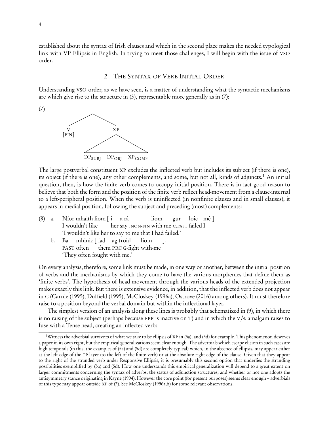<span id="page-3-2"></span>established about the syntax of Irish clauses and which in the second place makes the needed typological link with VP Ellipsis in English. In trying to meet those challenges, I will begin with the issue of VSO order.

# <span id="page-3-1"></span>2 THE SYNTAX OF VERB INITIAL ORDER

Understanding VSO order, as we have seen, is a matter of understanding what the syntactic mechanisms are which give rise to the structure in [\(3\),](#page-1-1) representable more generally as in (7):



The large postverbal constituent XP excludes the inflected verb but includes its subject (if there is one), its object (if there is one), any other complements, and some, but not all, kinds of adjuncts.<sup>[1](#page-3-0)</sup> An initial question, then, is how the finite verb comes to occupy initial position. There is in fact good reason to believe that both the form and the position of the finite verb reflect head-movement from a clause-internal to a left-peripheral position. When the verb is uninflected (in nonfinite clauses and in small clauses), it appears in medial position, following the subject and preceding (most) complements:

- (8) a. Níor mhaith liom [ í I-wouldn't-like her say .NON-FIN with-me <sup>C</sup>.PAST failed I a rá liom gur loic mé ]. 'I wouldn't like her to say to me that I had failed.'
	- b. Ba PAST often mhinic [ iad ag troid them PROG-fight with-me liom ]. 'They often fought with me.'

On every analysis, therefore, some link must be made, in one way or another, between the initial position of verbs and the mechanisms by which they come to have the various morphemes that define them as 'finite verbs'. The hypothesis of head-movement through the various heads of the extended projection makes exactly this link. But there is extensive evidence, in addition, that the inflected verb does not appear in C [\(Carnie \(1995\)](#page-32-1), [Duffield \(1995\)](#page-33-3), [McCloskey \(1996a\)](#page-35-2), [Ostrove \(2016](#page-36-0)) among others). It must therefore raise to a position beyond the verbal domain but within the inflectional layer.

The simplest version of an analysis along these lines is probably that schematized in (9), in which there is no raising of the subject (perhaps because EPP is inactive on T) and in which the  $V/v$  amalgam raises to fuse with a Tense head, creating an inflected verb:

<span id="page-3-0"></span><sup>1</sup>Witness the adverbial survivors of what we take to be ellipsis of XP in [\(5a\),](#page-2-0) and [\(5d\)](#page-2-1) for example. This phenomenon deserves a paper in its own right, but the empirical generalizations seem clear enough. The adverbials which escape elision in such cases are high temporals (in this, the examples of [\(5a\)](#page-2-0) and [\(5d\)](#page-2-1) are completely typical) which, in the absence of ellipsis, may appear either at the left edge of the TP-layer (to the left of the finite verb) or at the absolute right edge of the clause. Given that they appear to the right of the stranded verb under Responsive Ellipsis, it is presumably this second option that underlies the stranding possibilities exemplified by [\(5a\)](#page-2-0) and [\(5d\).](#page-2-1) How one understands this empirical generalization will depend to a great extent on larger commitments concerning the syntax of adverbs, the status of adjunction structures, and whether or not one adopts the antisymmetry stance originating in [Kayne \(1994](#page-34-0)). However the core point (for present purposes) seems clear enough – adverbials of this type may appear outside XP of [\(7\).](#page-3-1) See [McCloskey \(1996a](#page-35-2)[,b](#page-35-3)) for some relevant observations.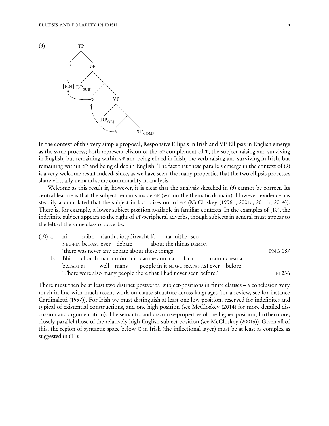

In the context of this very simple proposal, Responsive Ellipsis in Irish and VP Ellipsis in English emerge as the same process; both represent elision of the  $v\text{P-complement}$  of T, the subject raising and surviving in English, but remaining within  $v_{\rm P}$  and being elided in Irish, the verb raising and surviving in Irish, but remaining within vP and being elided in English. The fact that these parallels emerge in the context of (9) is a very welcome result indeed, since, as we have seen, the many properties that the two ellipsis processes share virtually demand some commonality in analysis.

Welcome as this result is, however, it is clear that the analysis sketched in (9) cannot be correct. Its central feature is that the subject remains inside vP (within the thematic domain). However, evidence has steadily accumulated that the subject in fact raises out of  $vP$  [\(McCloskey \(1996b,](#page-35-3) [2001a,](#page-35-4) [2011b,](#page-35-1) [2014\)](#page-35-5)). There is, for example, a lower subject position available in familiar contexts. In the examples of (10), the indefinite subject appears to the right of  $v$ P-peripheral adverbs, though subjects in general must appear to the left of the same class of adverbs:

| (10) a. ní raibh riamh díospóireacht fá na nithe seo              |                |
|-------------------------------------------------------------------|----------------|
| NEG-FIN be.PAST ever debate about the things DEMON                |                |
| 'there was never any debate about these things'                   | <b>PNG 187</b> |
| b. Bhí chomh maith mórchuid daoine ann ná faca riamh cheana.      |                |
| be.past as well many people in-it NEG-C see.past s1 ever before   |                |
| 'There were also many people there that I had never seen before.' | $FI$ 236       |

<span id="page-4-0"></span>There must then be at least two distinct postverbal subject-positions in finite clauses – a conclusion very much in line with much recent work on clause structure across languages (for a review, see for instance [Cardinaletti \(1997](#page-32-2))). For Irish we must distinguish at least one low position, reserved for indefinites and typical of existential constructions, and one high position (see [McCloskey \(2014\)](#page-35-5) for more detailed discussion and argumentation). The semantic and discourse-properties of the higher position, furthermore, closely parallel those of the relatively high English subject position (see [McCloskey \(2001a\)](#page-35-4)). Given all of this, the region of syntactic space below C in Irish (the inflectional layer) must be at least as complex as suggested in (11):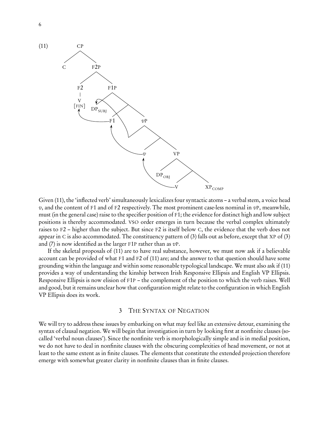

Given (11), the 'inflected verb' simultaneously lexicalizes four syntactic atoms – a verbal stem, a voice head  $v$ , and the content of F1 and of F2 respectively. The most prominent case-less nominal in  $v$ P, meanwhile, must (in the general case) raise to the specifier position of F1; the evidence for distinct high and low subject positions is thereby accommodated. VSO order emerges in turn because the verbal complex ultimately raises to F2 – higher than the subject. But since F2 is itself below C, the evidence that the verb does not appear in C is also accommodated. The constituency pattern of [\(3\)](#page-1-1) falls out as before, except that XP of [\(3\)](#page-1-1) and [\(7\)](#page-3-1) is now identified as the larger F1P rather than as  $vP$ .

If the skeletal proposals of (11) are to have real substance, however, we must now ask if a believable account can be provided of what F1 and F2 of (11) are; and the answer to that question should have some grounding within the language and within some reasonable typological landscape. We must also ask if (11) provides a way of understanding the kinship between Irish Responsive Ellipsis and English VP Ellipsis. Responsive Ellipsis is now elision of F1P – the complement of the position to which the verb raises. Well and good, but it remains unclear how that configuration might relate to the configuration in which English VP Ellipsis does its work.

# 3 THE SYNTAX OF NEGATION

We will try to address these issues by embarking on what may feel like an extensive detour, examining the syntax of clausal negation. We will begin that investigation in turn by looking first at nonfinite clauses (socalled 'verbal noun clauses'). Since the nonfinite verb is morphologically simple and is in medial position, we do not have to deal in nonfinite clauses with the obscuring complexities of head movement, or not at least to the same extent as in finite clauses. The elements that constitute the extended projection therefore emerge with somewhat greater clarity in nonfinite clauses than in finite clauses.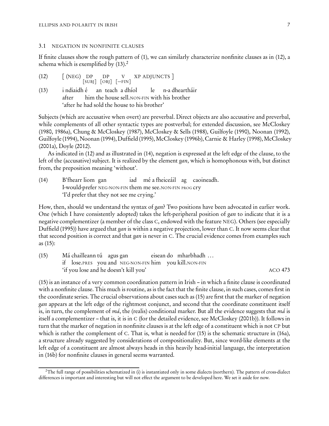#### <span id="page-6-2"></span>3.1 NEGATION IN NONFINITE CLAUSES

If finite clauses show the rough pattern of [\(1\),](#page-1-2) we can similarly characterize nonfinite clauses as in (12), a schema which is exemplified by  $(13).<sup>2</sup>$  $(13).<sup>2</sup>$  $(13).<sup>2</sup>$ 

| (12) | [(NEG) DP DP V XP ADJUNCTS ]<br>[SUBJ] [OBJ] [---FIN] |                   |
|------|-------------------------------------------------------|-------------------|
|      |                                                       |                   |
| (13) | i ndiaidh é an teach a dhíol                          | le n-a dheartháir |

after him the house sell.NON-FIN with his brother 'after he had sold the house to his brother'

Subjects (which are accusative when overt) are preverbal. Direct objects are also accusative and preverbal, while complements of all other syntactic types are postverbal; for extended discussion, see [McCloskey](#page-35-6) [\(1980](#page-35-6), [1986a\)](#page-35-7), [Chung & McCloskey \(1987\)](#page-33-4), [McCloskey & Sells \(1988\)](#page-36-1), [Guilfoyle \(1990\)](#page-34-1), [Noonan \(1992\)](#page-36-2), [Guilfoyle \(1994\)](#page-34-2), [Noonan \(1994\)](#page-36-3), [Duffield\(1995\)](#page-33-3), [McCloskey\(1996b\)](#page-35-3), [Carnie & Harley \(1998\)](#page-32-3), [McCloskey](#page-35-4) [\(2001a\)](#page-35-4), [Doyle \(2012\)](#page-33-5).

As indicated in (12) and as illustrated in (14), negation is expressed at the left edge of the clause, to the left of the (accusative) subject. It is realized by the element gan, which is homophonous with, but distinct from, the preposition meaning 'without'.

(14) B'fhearr liom gan I-would-prefer NEG-NON-FIN them me see.NON-FIN PROG cry iad mé a fheiceáil ag caoineadh. 'I'd prefer that they not see me crying.'

How, then, should we understand the syntax of gan? Two positions have been advocated in earlier work. One (which I have consistently adopted) takes the left-peripheral position of gan to indicate that it is a negative complementizer (a member of the class C, endowed with the feature NEG). Others (see especially [Duffield \(1995\)](#page-33-3)) have argued that gan is within a negative projection, lower than C. It now seems clear that that second position is correct and that gan is never in C. The crucial evidence comes from examples such as (15):

<span id="page-6-1"></span>

| (15) | Má chailleann tú agus gan                             | eisean do mharbhadh |         |
|------|-------------------------------------------------------|---------------------|---------|
|      | if lose.PRES you and NEG-NON-FIN him you kill.NON-FIN |                     |         |
|      | 'if you lose and he doesn't kill you'                 |                     | ACO 473 |

(15) is an instance of a very common coordination pattern in Irish – in which a finite clause is coordinated with a nonfinite clause. This much is routine, as is the fact that the finite clause, in such cases, comes first in the coordinate series. The crucial observations about cases such as (15) are first that the marker of negation gan appears at the left edge of the rightmost conjunct, and second that the coordinate constituent itself is, in turn, the complement of má, the (realis) conditional marker. But all the evidence suggests that má is itself a complementizer – that is, it is in C (for the detailed evidence, see [McCloskey \(2001b\)](#page-35-8)). It follows in turn that the marker of negation in nonfinite clauses is at the left edge of a constituent which is not CP but which is rather the complement of C. That is, what is needed for (15) is the schematic structure in (16a), a structure already suggested by considerations of compositionality. But, since word-like elements at the left edge of a constituent are almost always heads in this heavily head-initial language, the interpretation in (16b) for nonfinite clauses in general seems warranted.

<span id="page-6-0"></span><sup>&</sup>lt;sup>2</sup>The full range of possibilities schematized in (i) is instantiated only in some dialects (northern). The pattern of cross-dialect differences is important and interesting but will not effect the argument to be developed here. We set it aside for now.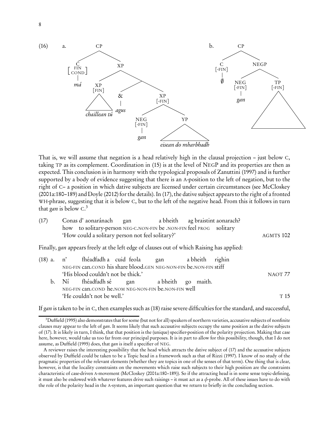

That is, we will assume that negation is a head relatively high in the clausal projection – just below C, taking TP as its complement. Coordination in (15) is at the level of NEGP and its properties are then as expected. This conclusion is in harmony with the typological proposals of [Zanuttini \(1997\)](#page-38-0) and is further supported by a body of evidence suggesting that there is an A-position to the left of negation, but to the right of C– a position in which dative subjects are licensed under certain circumstances (see [McCloskey](#page-35-4) [\(2001a:](#page-35-4)180–189) and [Doyle \(2012\)](#page-33-5) for the details). In (17), the dative subject appears to the right of a fronted WH-phrase, suggesting that it is below C, but to the left of the negative head. From this it follows in turn that *gan* is below  $C<sup>3</sup>$  $C<sup>3</sup>$  $C<sup>3</sup>$ 

<span id="page-7-1"></span>

| (17) | Conas d'aonaránach gan                                              |  | a bheith ag braistint aonarach? |           |
|------|---------------------------------------------------------------------|--|---------------------------------|-----------|
|      | how to solitary-person NEG-C.NON-FIN be .NON-FIN feel PROG solitary |  |                                 |           |
|      | 'How could a solitary person not feel solitary?'                    |  |                                 | AGMTS 102 |

Finally, gan appears freely at the left edge of clauses out of which Raising has applied:

|  | (18) a. n' fhéadfadh a cuid feola gan a bheith righin             |  |  |         |
|--|-------------------------------------------------------------------|--|--|---------|
|  | NEG-FIN can.COND his share blood.GEN NEG-NON-FIN be.NON-FIN stiff |  |  |         |
|  | 'His blood couldn't not be thick.'                                |  |  | NAOT 77 |
|  | b. Ní fhéadfadh sé gan a bheith go maith.                         |  |  |         |
|  | NEG-FIN CAN.COND he.NOM NEG-NON-FIN be.NON-FIN well               |  |  |         |
|  | 'He couldn't not be well.'                                        |  |  | T 15    |

If gan is taken to be in C, then examples such as (18) raise severe difficulties for the standard, and successful,

<span id="page-7-0"></span> $3$ [Duffield \(1995](#page-33-3)) also demonstrates that for some (but not for all) speakers of northern varieties, accusative subjects of nonfinite clauses may appear to the left of gan. It seems likely that such accusative subjects occupy the same position as the dative subjects of [\(17\).](#page-7-1) It is likely in turn, I think, that that position is the (unique) specifier-position of the polarity projection. Making that case here, however, would take us too far from our principal purposes. It is in part to allow for this possibility, though, that I do not assume, as [Duffield \(1995\)](#page-33-3) does, that gan is itself a specifier of NEG.

A reviewer raises the interesting possibility that the head which attracts the dative subject of [\(17\)](#page-7-1) and the accusative subjects observed by Duffield could be taken to be a Topic head in a framework such as that of [Rizzi \(1997\)](#page-36-4). I know of no study of the pragmatic properties of the relevant elements (whether they are topics in one of the senses of that term). One thing that is clear, however, is that the locality constraints on the movements which raise such subjects to their high position are the constraints characteristic of case-driven A-movement [\(McCloskey \(2001a:](#page-35-4)180–189)). So if the attracting head is in some sense topic-defining, it must also be endowed with whatever features drive such raisings – it must act as a *φ*-probe. All of these issues have to do with the role of the polarity head in the A-system, an important question that we return to briefly in the concluding section.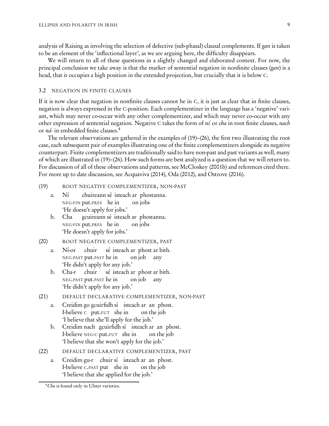analysis of Raising as involving the selection of defective (sub-phasal) clausal complements. If gan is taken to be an element of the 'inflectional layer', as we are arguing here, the difficulty disappears.

We will return to all of these questions in a slightly changed and elaborated context. For now, the principal conclusion we take away is that the marker of sentential negation in nonfinite clauses (gan) is a head, that it occupies a high position in the extended projection, but crucially that it is below C.

#### 3.2 NEGATION IN FINITE CLAUSES

If it is now clear that negation in nonfinite clauses cannot be in C, it is just as clear that in finite clauses, negation is always expressed in the C-position. Each complementizer in the language has a 'negative' variant, which may never co-occur with any other complementizer, and which may never co-occur with any other expression of sentential negation. Negative C takes the form of  $n\acute{i}$  or *cha* in root finite clauses, *nach* or ná- in embedded finite clauses.[4](#page-8-0)

The relevant observations are gathered in the examples of (19)[–\(26\),](#page-9-0) the first two illustrating the root case, each subsequent pair of examples illustrating one of the finite complementizers alongside its negative counterpart. Finite complementizers are traditionally said to have non-past and past variants as well, many of which are illustrated in (19)[–\(26\).](#page-9-0) How such forms are best analyzed is a question that we will return to. For discussion of all of these observations and patterns, see [McCloskey \(2001b\)](#page-35-8) and references cited there. For more up to date discussion, see [Acquaviva \(2014\)](#page-32-4), [Oda \(2012\)](#page-36-5), and [Ostrove \(2016\)](#page-36-0).

#### (19) ROOT NEGATIVE COMPLEMENTIZER, NON-PAST

- a. Ní NEG-FIN put.PRES he in chuireann sé isteach ar phostanna. on jobs 'He doesn't apply for jobs.'
- b. Cha NEG-FIN put.PRES he in gcuireann sé isteach ar phostanna. on jobs 'He doesn't apply for jobs.'

#### (20) ROOT NEGATIVE COMPLEMENTIZER, PAST

- a. Ní-or NEG.PAST put.PAST he in chuir sé isteach ar phost ar bith. on job any 'He didn't apply for any job.'
- b. Cha-r NEG.PAST put.PAST he in chuir sé isteach ar phost ar bith. on job any 'He didn't apply for any job.'
- <span id="page-8-1"></span>(21) DEFAULT DECLARATIVE COMPLEMENTIZER, NON-PAST
	- a. Creidim go gcuirfidh sí isteach ar an phost. I-believe C put.FUT she in on the job 'I believe that she'll apply for the job.'
	- b. Creidim nach gcuirfidh sí isteach ar an phost. I-believe NEG-C put.FUT she in on the job 'I believe that she won't apply for the job.'
- (22) DEFAULT DECLARATIVE COMPLEMENTIZER, PAST
	- a. Creidim gu-r chuir sí isteach ar an phost. I-believe <sup>C</sup>.PAST put she in on the job 'I believe that she applied for the job.'

<span id="page-8-0"></span><sup>&</sup>lt;sup>4</sup>Cha is found only in Ulster varieties.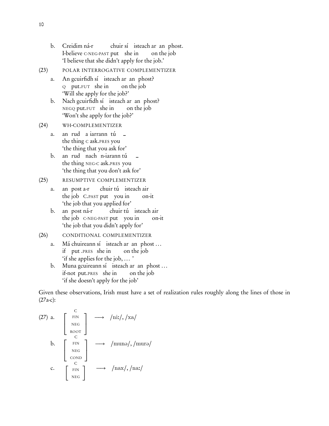- b. Creidim ná-r I-believe C-NEG-PAST put she in chuir sí isteach ar an phost. on the job 'I believe that she didn't apply for the job.'
- (23) POLAR INTERROGATIVE COMPLEMENTIZER
	- a. An gcuirfidh sí isteach ar an phost? Q put.FUT she in on the job 'Will she apply for the job?'
	- b. Nach gcuirfidh sí isteach ar an phost? NEGQ put.FUT she in on the job 'Won't she apply for the job?'

# (24) WH-COMPLEMENTIZER

- a. the thing C ask.PRES you rud a iarrann tú – 'the thing that you ask for'
- b. the thing NEG-C ask.PRES you rud nach n-iarann tú – 'the thing that you don't ask for'

# (25) RESUMPTIVE COMPLEMENTIZER

- a. the job C.PAST put you in post a-r chuir tú isteach air on-it 'the job that you applied for'
- b. the job C-NEG-PAST put you in post ná-r chuir tú isteach air on-it 'the job that you didn't apply for'
- <span id="page-9-1"></span><span id="page-9-0"></span>(26) CONDITIONAL COMPLEMENTIZER
	- a. Má chuireann sí isteach ar an phost ... if put .PRES she in on the job 'if she applies for the job, ... '
	- b. Muna gcuireann sí isteach ar an phost... if-not put.PRES she in on the job 'if she doesn't apply for the job'

Given these observations, Irish must have a set of realization rules roughly along the lines of those in (27a-c):

(27) a. 
$$
\begin{bmatrix} C \\ FIN \\ NEG \\ ROOT \end{bmatrix} \longrightarrow /niz/, /xa/
$$
  
b. 
$$
\begin{bmatrix} FIN \\ C \\ NEG \\ COND \end{bmatrix} \longrightarrow /muno/, /muro/
$$
  
c. 
$$
\begin{bmatrix} FIN \\ NEG \\ C \end{bmatrix} \longrightarrow /nax/, /na:/
$$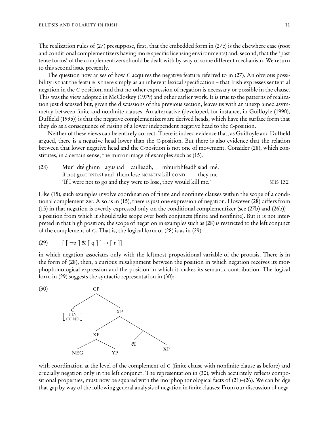The realization rules of (27) presuppose, first, that the embedded form in (27c) is the elsewhere case (root and conditional complementizers having more specific licensing environments) and, second, that the 'past tense forms' of the complementizers should be dealt with by way of some different mechanism. We return to this second issue presently.

The question now arises of how C acquires the negative feature referred to in (27). An obvious possibility is that the feature is there simply as an inherent lexical specification – that Irish expresses sentential negation in the C-position, and that no other expression of negation is necessary or possible in the clause. This was the view adopted in [McCloskey \(1979\)](#page-35-9) and other earlier work. It is true to the patterns of realization just discussed but, given the discussions of the previous section, leaves us with an unexplained asymmetry between finite and nonfinite clauses. An alternative (developed, for instance, in [Guilfoyle \(1990](#page-34-1)), [Duffield \(1995](#page-33-3))) is that the negative complementizers are derived heads, which have the surface form that they do as a consequence of raising of a lower independent negative head to the C-position.

Neither of these views can be entirely correct. There is indeed evidence that, as Guilfoyle and Duffield argued, there is a negative head lower than the C-position. But there is also evidence that the relation between that lower negative head and the C-position is not one of movement. Consider (28), which constitutes, in a certain sense, the mirror image of examples such as [\(15\).](#page-6-1)

<span id="page-10-0"></span>(28) Mur' dtéighinn agus iad cailleadh, if-not go.COND.S1 and them lose.NON-FIN kill.COND mhuirbhfeadh siad mé. they me 'If I were not to go and they were to lose, they would kill me.' SHS 132

Like [\(15\),](#page-6-1) such examples involve coordination of finite and nonfinite clauses within the scope of a conditional complementizer. Also as in [\(15\),](#page-6-1) there is just one expression of negation. However (28) differs from [\(15\)](#page-6-1) in that negation is overtly expressed only on the conditional complementizer (see (27b) and [\(26b\)\)](#page-9-1) – a position from which it should take scope over both conjuncts (finite and nonfinite). But it is not interpreted in that high position; the scope of negation in examples such as (28) is restricted to the left conjunct of the complement of C. That is, the logical form of (28) is as in (29):

(29) 
$$
[\neg p] \& [q] \rightarrow [r]
$$

in which negation associates only with the leftmost propositional variable of the protasis. There is in the form of (28), then, a curious misalignment between the position in which negation receives its morphophonological expression and the position in which it makes its semantic contribution. The logical form in (29) suggests the syntactic representation in (30):



with coordination at the level of the complement of C (finite clause with nonfinite clause as before) and crucially negation only in the left conjunct. The representation in (30), which accurately reflects compositional properties, must now be squared with the morphophonological facts of [\(21\)](#page-8-1)[–\(26\).](#page-9-0) We can bridge that gap by way of the following general analysis of negation in finite clauses: From our discussion of nega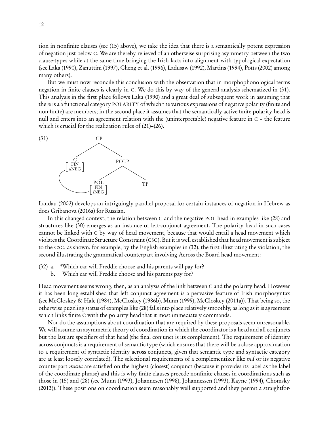tion in nonfinite clauses (see [\(15\)](#page-6-1) above), we take the idea that there is a semantically potent expression of negation just below C. We are thereby relieved of an otherwise surprising asymmetry between the two clause-types while at the same time bringing the Irish facts into alignment with typological expectation (see [Laka \(1990\)](#page-34-3), [Zanuttini \(1997\)](#page-38-0), [Cheng et al. \(1996\)](#page-32-5), [Ladusaw \(1992\)](#page-34-4), [Martins \(1994](#page-35-10)), [Potts \(2002](#page-36-6)) among many others).

But we must now reconcile this conclusion with the observation that in morphophonological terms negation in finite clauses is clearly in C. We do this by way of the general analysis schematized in (31). This analysis in the first place follows [Laka \(1990](#page-34-3)) and a great deal of subsequent work in assuming that there is a a functional category POLARITY of which the various expressions of negative polarity (finite and non-finite) are members; in the second place it assumes that the semantically active finite polarity head is null and enters into an agreement relation with the (uninterpretable) negative feature in C – the feature which is crucial for the realization rules of  $(21)$ – $(26)$ .



[Landau \(2002\)](#page-34-5) develops an intriguingly parallel proposal for certain instances of negation in Hebrew as does [Gribanova \(2016a\)](#page-33-6) for Russian.

In this changed context, the relation between C and the negative POL head in examples like [\(28\)](#page-10-0) and structures like (30) emerges as an instance of left-conjunct agreement. The polarity head in such cases cannot be linked with C by way of head movement, because that would entail a head movement which violates the Coordinate Structure Constraint (CSC). But it is well established that head movement is subject to the CSC, as shown, for example, by the English examples in (32), the first illustrating the violation, the second illustrating the grammatical counterpart involving Across the Board head movement:

- (32) a. \*Which car will Freddie choose and his parents will pay for?
	- b. Which car will Freddie choose and his parents pay for?

Head movement seems wrong, then, as an analysis of the link between C and the polarity head. However it has been long established that left conjunct agreement is a pervasive feature of Irish morphosyntax (see [McCloskey & Hale \(1984](#page-36-7)), [McCloskey \(1986b](#page-35-11)), [Munn \(1999\)](#page-36-8), [McCloskey \(2011a](#page-35-12))). That being so, the otherwise puzzling status of examples like [\(28\)](#page-10-0) falls into place relatively smoothly, as long as it is agreement which links finite C with the polarity head that it most immediately commands.

Nor do the assumptions about coordination that are required by these proposals seem unreasonable. We will assume an asymmetric theory of coordination in which the coordinator is a head and all conjuncts but the last are specifiers of that head (the final conjunct is its complement). The requirement of identity across conjuncts is a requirement of semantic type (which ensures that there will be a close approximation to a requirement of syntactic identity across conjuncts, given that semantic type and syntactic category are at least loosely correlated). The selectional requirements of a complementizer like  $m\acute{a}$  or its negative counterpart *muna* are satisfied on the highest (closest) conjunct (because it provides its label as the label of the coordinate phrase) and this is why finite clauses precede nonfinite clauses in coordinations such as those in [\(15\)](#page-6-1) and [\(28\)](#page-10-0) (see [Munn \(1993\)](#page-36-9), [Johannesen \(1998\)](#page-34-6), [Johannessen \(1993\)](#page-34-7), [Kayne \(1994\)](#page-34-0), [Chomsky](#page-32-6) [\(2013](#page-32-6))). These positions on coordination seem reasonably well supported and they permit a straightfor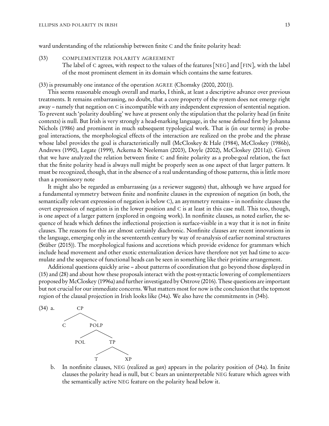ward understanding of the relationship between finite C and the finite polarity head:

#### (33) COMPLEMENTIZER POLARITY AGREEMENT

The label of C agrees, with respect to the values of the features [NEG] and [FIN], with the label of the most prominent element in its domain which contains the same features.

(33) is presumably one instance of the operation AGREE [\(Chomsky \(2000](#page-32-7), [2001\)](#page-32-8)).

This seems reasonable enough overall and marks, I think, at least a descriptive advance over previous treatments. It remains embarrassing, no doubt, that a core property of the system does not emerge right away – namely that negation on C is incompatible with any independent expression of sentential negation. To prevent such 'polarity doubling' we have at present only the stipulation that the polarity head (in finite contexts) is null. But Irish is very strongly a head-marking language, in the sense defined first by Johanna Nichols [\(1986](#page-36-10)) and prominent in much subsequent typological work. That is (in our terms) in probegoal interactions, the morphological effects of the interaction are realized on the probe and the phrase whose label provides the goal is characteristically null [\(McCloskey & Hale \(1984\)](#page-36-7), [McCloskey \(1986b](#page-35-11)), [Andrews \(1990\)](#page-32-9), [Legate \(1999](#page-35-13)), [Ackema & Neeleman \(2003](#page-32-10)), [Doyle \(2002\)](#page-33-7), [McCloskey \(2011a\)](#page-35-12)). Given that we have analyzed the relation between finite C and finite polarity as a probe-goal relation, the fact that the finite polarity head is always null might be properly seen as one aspect of that larger pattern. It must be recognized, though, that in the absence of a real understanding of those patterns, this is little more than a promissory note

It might also be regarded as embarrassing (as a reviewer suggests) that, although we have argued for a fundamental symmetry between finite and nonfinite clauses in the expression of negation (in both, the semantically relevant expression of negation is below C), an asymmetry remains – in nonfinite clauses the overt expression of negation is in the lower position and C is at least in this case null. This too, though, is one aspect of a larger pattern (explored in ongoing work). In nonfinite clauses, as noted earlier, the sequence of heads which defines the inflectional projection is surface-visible in a way that it is not in finite clauses. The reasons for this are almost certainly diachronic. Nonfinite clauses are recent innovations in the language, emerging only in the seventeenth century by way of re-analysis of earlier nominal structures [\(Stüber \(2015](#page-37-0))). The morphological fusions and accretions which provide evidence for grammars which include head movement and other exotic externalization devices have therefore not yet had time to accumulate and the sequence of functional heads can be seen in something like their pristine arrangement.

Additional questions quickly arise – about patterns of coordination that go beyond those displayed in [\(15\)](#page-6-1) and [\(28\)](#page-10-0) and about how these proposals interact with the post-syntactic lowering of complementizers proposed by [McCloskey \(1996a\)](#page-35-2) and further investigated by [Ostrove \(2016](#page-36-0)). These questions are important but not crucial for our immediate concerns. What matters most for now is the conclusion that the topmost region of the clausal projection in Irish looks like [\(34a\).](#page-12-0) We also have the commitments in (34b).

<span id="page-12-0"></span>

b. In nonfinite clauses, NEG (realized as *gan*) appears in the polarity position of  $(34a)$ . In finite clauses the polarity head is null, but C bears an uninterpretable NEG feature which agrees with the semantically active NEG feature on the polarity head below it.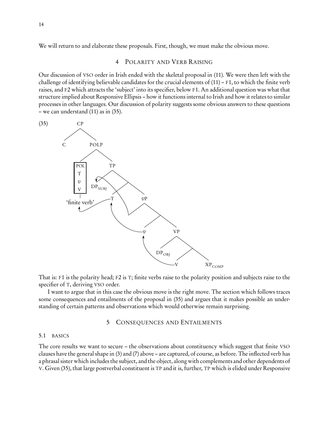We will return to and elaborate these proposals. First, though, we must make the obvious move.

## <span id="page-13-0"></span>4 POLARITY AND VERB RAISING

Our discussion of VSO order in Irish ended with the skeletal proposal in [\(11\).](#page-4-0) We were then left with the challenge of identifying believable candidates for the crucial elements of [\(11\)](#page-4-0) – F1, to which the finite verb raises, and F2 which attracts the 'subject' into its specifier, below F1. An additional question was what that structure implied about Responsive Ellipsis – how it functions internal to Irish and how it relates to similar processes in other languages. Our discussion of polarity suggests some obvious answers to these questions – we can understand [\(11\)](#page-4-0) as in (35).



That is: F1 is the polarity head; F2 is T; finite verbs raise to the polarity position and subjects raise to the specifier of T, deriving VSO order.

I want to argue that in this case the obvious move is the right move. The section which follows traces some consequences and entailments of the proposal in [\(35\)](#page-13-0) and argues that it makes possible an understanding of certain patterns and observations which would otherwise remain surprising.

## 5 CONSEQUENCES AND ENTAILMENTS

#### 5.1 BASICS

The core results we want to secure – the observations about constituency which suggest that finite VSO clauses have the general shape in [\(3\)](#page-1-1) and [\(7\)](#page-3-1) above – are captured, of course, as before. The inflected verb has a phrasal sister which includes the subject, and the object, along with complements and other dependents of V. Given [\(35\),](#page-13-0) that large postverbal constituent is TP and it is, further, TP which is elided under Responsive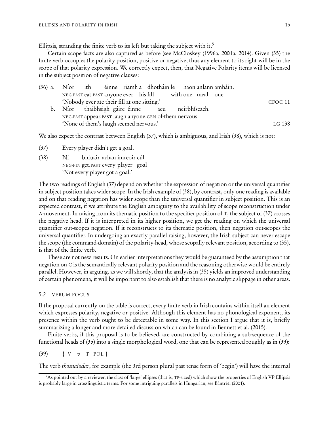Ellipsis, stranding the finite verb to its left but taking the subject with it. $5$ 

Certain scope facts are also captured as before (see [McCloskey \(1996a,](#page-35-2) [2001a,](#page-35-4) [2014\)](#page-35-5). Given [\(35\)](#page-13-0) the finite verb occupies the polarity position, positive or negative; thus any element to its right will be in the scope of that polarity expression. We correctly expect, then, that Negative Polarity items will be licensed in the subject position of negative clauses:

|  |                                              |                                                          |  | (36) a. Níor ith éinne riamh a dhotháin le haon anlann amháin. |         |
|--|----------------------------------------------|----------------------------------------------------------|--|----------------------------------------------------------------|---------|
|  |                                              | NEG.PAST eat.PAST anyone ever his fill with one meal one |  |                                                                |         |
|  | 'Nobody ever ate their fill at one sitting.' |                                                          |  |                                                                | CFOC 11 |
|  |                                              | b. Níor thaibhsigh gáire éinne acu neirbhíseach.         |  |                                                                |         |
|  |                                              | NEG.PAST appear.PAST laugh anyone.GEN of-them nervous    |  |                                                                |         |
|  | 'None of them's laugh seemed nervous.'       |                                                          |  |                                                                | LG 138  |

We also expect the contrast between English (37), which is ambiguous, and Irish (38), which is not:

- (37) Every player didn't get a goal.
- (38) Ní NEG-FIN get.PAST every player goal bhfuair achan imreoir cúl. 'Not every player got a goal.'

The two readings of English (37) depend on whether the expression of negation or the universal quantifier in subject position takes wider scope. In the Irish example of (38), by contrast, only one reading is available and on that reading negation has wider scope than the universal quantifier in subject position. This is an expected contrast, if we attribute the English ambiguity to the availability of scope reconstruction under A-movement. In raising from its thematic position to the specifier position of T, the subject of (37) crosses the negative head. If it is interpreted in its higher position, we get the reading on which the universal quantifier out-scopes negation. If it reconstructs to its thematic position, then negation out-scopes the universal quantifier. In undergoing an exactly parallel raising, however, the Irish subject can never escape the scope (the command-domain) of the polarity-head, whose scopally relevant position, according to [\(35\),](#page-13-0) is that of the finite verb.

These are not new results. On earlier interpretations they would be guaranteed by the assumption that negation on C is the semantically relevant polarity position and the reasoning otherwise would be entirely parallel. However, in arguing, as we will shortly, that the analysis in [\(35\)](#page-13-0) yields an improved understanding of certain phenomena, it will be important to also establish that there is no analytic slippage in other areas.

#### 5.2 VERUM FOCUS

If the proposal currently on the table is correct, every finite verb in Irish contains within itself an element which expresses polarity, negative or positive. Although this element has no phonological exponent, its presence within the verb ought to be detectable in some way. In this section I argue that it is, briefly summarizing a longer and more detailed discussion which can be found in [Bennett et al. \(2015\)](#page-32-11).

Finite verbs, if this proposal is to be believed, are constructed by combining a sub-sequence of the functional heads of [\(35\)](#page-13-0) into a single morphological word, one that can be represented roughly as in (39):

$$
(39) \qquad \{ \text{ V} \quad \text{v} \quad \text{T} \quad \text{POL} \}
$$

The verb thosnaíodar, for example (the 3rd person plural past tense form of 'begin') will have the internal

<span id="page-14-0"></span><sup>5</sup>As pointed out by a reviewer, the class of 'large' ellipses (that is, TP-sized) which show the properties of English VP Ellipsis is probably large in crosslinguistic terms. For some intriguing parallels in Hungarian, see [Bántréti \(2001](#page-32-12)).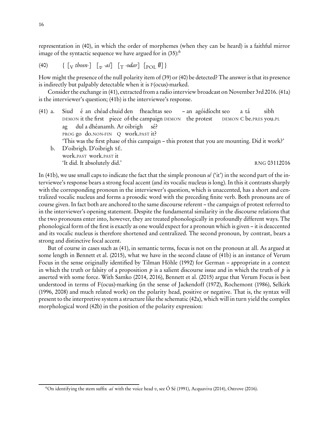representation in (40), in which the order of morphemes (when they can be heard) is a faithful mirror image of the syntactic sequence we have argued for in  $(35)$ :<sup>[6](#page-15-0)</sup>

(40) { [<sup>V</sup> thosn-] [v -aí] [<sup>T</sup> -odar] [POL ;] }

How might the presence of the null polarity item of (39) or (40) be detected? The answer is that its presence is indirectly but palpably detectable when it is F(ocus)-marked.

Consider the exchange in (41), extracted from a radio interview broadcast on November 3rd 2016. (41a) is the interviewer's question; (41b) is the interviewee's response.

- <span id="page-15-1"></span>(41) a. Siud DEMON it the first piece of-the campaign DEMON the protest é an chéad chuid den fheachtas seo – an agóidíocht seo DEMON C be.PRES you.PL a tá sibh ag PROG go do.NON-FIN Q work.PAST it? dul a dhéanamh. Ar oibrigh sé? 'This was the first phase of this campaign – this protest that you are mounting. Did it work?'
	- b. D'oibrigh. D'oibrigh SÉ. work.PAST work.PAST it 'It did. It absolutely did.' RNG 03112016

In (41b), we use small caps to indicate the fact that the simple pronoun  $s\acute{e}$  ('it') in the second part of the interviewee's response bears a strong focal accent (and its vocalic nucleus is long). In this it contrasts sharply with the corresponding pronoun in the interviewer's question, which is unaccented, has a short and centralized vocalic nucleus and forms a prosodic word with the preceding finite verb. Both pronouns are of course given. In fact both are anchored to the same discourse referent – the campaign of protest referred to in the interviewer's opening statement. Despite the fundamental similarity in the discourse relations that the two pronouns enter into, however, they are treated phonologically in profoundly different ways. The phonological form of the first is exactly as one would expect for a pronoun which is given – it is deaccented and its vocalic nucleus is therefore shortened and centralized. The second pronoun, by contrast, bears a strong and distinctive focal accent.

But of course in cases such as (41), in semantic terms, focus is not on the pronoun at all. As argued at some length in [Bennett et al. \(2015\)](#page-32-11), what we have in the second clause of [\(41b\)](#page-15-1) is an instance of Verum Focus in the sense originally identified by Tilman Höhle [\(1992\)](#page-34-8) for German – appropriate in a context in which the truth or falsity of a proposition p is a salient discourse issue and in which the truth of p is asserted with some force. With [Samko \(2014,](#page-37-1) [2016](#page-37-2)), [Bennett et al. \(2015\)](#page-32-11) argue that Verum Focus is best understood in terms of F(ocus)-marking (in the sense of [Jackendoff \(1972\)](#page-34-9), [Rochemont \(1986](#page-37-3)), [Selkirk](#page-37-4) [\(1996](#page-37-4), [2008](#page-37-5)) and much related work) on the polarity head, positive or negative. That is, the syntax will present to the interpretive system a structure like the schematic (42a), which will in turn yield the complex morphological word (42b) in the position of the polarity expression:

<span id="page-15-0"></span><sup>&</sup>lt;sup>6</sup>On identifying the stem suffix -ai with the voice head v, see [Ó Sé \(1991](#page-36-11)), [Acquaviva \(2014\)](#page-32-4), [Ostrove \(2016\)](#page-36-0).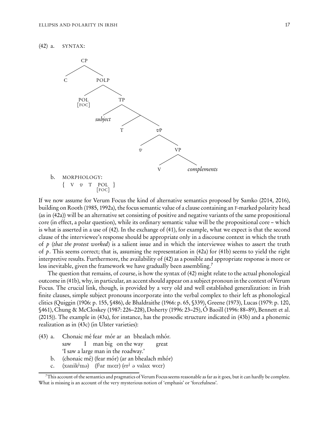<span id="page-16-1"></span>



If we now assume for Verum Focus the kind of alternative semantics proposed by [Samko \(2014,](#page-37-1) [2016\)](#page-37-2), building on [Rooth \(1985](#page-37-6), [1992a\)](#page-37-7), the focus semantic value of a clause containing an F-marked polarity head (as in (42a)) will be an alternative set consisting of positive and negative variants of the same propositional core (in effect, a polar question), while its ordinary semantic value will be the propositional core – which is what is asserted in a use of (42). In the exchange of (41), for example, what we expect is that the second clause of the interviewee's response should be appropriate only in a discourse context in which the truth of p (that the protest worked) is a salient issue and in which the interviewee wishes to assert the truth of p. This seems correct; that is, assuming the representation in  $(42a)$  for  $(41b)$  seems to yield the right interpretive results. Furthermore, the availability of (42) as a possible and appropriate response is more or less inevitable, given the framework we have gradually been assembling.<sup>[7](#page-16-0)</sup>

The question that remains, of course, is how the syntax of (42) might relate to the actual phonological outcome in (41b), why, in particular, an accent should appear on a subject pronoun in the context of Verum Focus. The crucial link, though, is provided by a very old and well established generalization: in Irish finite clauses, simple subject pronouns incorporate into the verbal complex to their left as phonological clitics [\(Quiggin \(1906](#page-36-12): p. 155, §486), [de Bhaldraithe \(1966:](#page-32-13) p. 65, §339), [Greene \(1973](#page-33-8)), [Lucas \(1979:](#page-35-14) p. 120, §461), [Chung & McCloskey \(1987:](#page-33-4) 226–228), [Doherty \(1996:](#page-33-9) 23–25), [Ó Baoill \(1996:](#page-36-13) 88–89), [Bennett et al.](#page-32-11) [\(2015](#page-32-11))). The example in (43a), for instance, has the prosodic structure indicated in (43b) and a phonemic realization as in (43c) (in Ulster varieties):

- (43) a. Chonaic mé fear mór ar an bhealach mhór. saw I man big on the way great 'I saw a large man in the roadway.'
	- b. (chonaic mé) (fear mór) (ar an bhealach mhór)
	- c. (xanik<sup>j</sup>mə) (f<sup>j</sup>ar mo:r) (er<sup>j</sup> ə valax wo:r)

<span id="page-16-0"></span> $^7$ This account of the semantics and pragmatics of Verum Focus seems reasonable as far as it goes, but it can hardly be complete. What is missing is an account of the very mysterious notion of 'emphasis' or 'forcefulness'.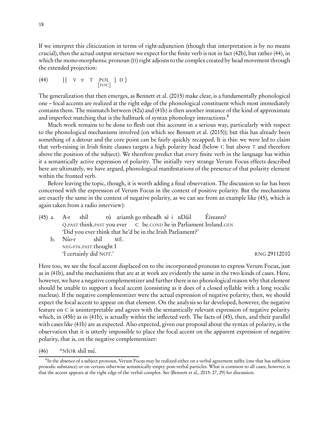If we interpret this cliticization in terms of right-adjunction (though that interpretation is by no means crucial), then the actual output structure we expect for the finite verb is not in fact (42b), but rather (44), in which the mono-morphemic pronoun (D) right adjoins to the complex created by head movement through the extended projection:

(44) {
$$
\{ \quad V \quad v \quad T \quad \text{POL} \quad D \}
$$
  
[ $\text{Foc}$ ]

The generalization that then emerges, as [Bennett et al. \(2015](#page-32-11)) make clear, is a fundamentally phonological one – focal accents are realized at the right edge of the phonological constituent which most immediately contains them. The mismatch between [\(42a\)](#page-16-1) and [\(41b\)](#page-15-1) is then another instance of the kind of approximate and imperfect matching that is the hallmark of syntax phonology interactions.<sup>[8](#page-17-0)</sup>

Much work remains to be done to flesh out this account in a serious way, particularly with respect to the phonological mechanisms involved (on which see [Bennett et al. \(2015\)](#page-32-11)); but this has already been something of a detour and the core point can be fairly quickly recapped. It is this: we were led to claim that verb-raising in Irish finite clauses targets a high polarity head (below C but above T and therefore above the position of the subject). We therefore predict that every finite verb in the language has within it a semantically active expression of polarity. The initially very strange Verum Focus effects described here are ultimately, we have argued, phonological manifestations of the presence of that polarity element within the fronted verb.

Before leaving the topic, though, it is worth adding a final observation. The discussion so far has been concerned with the expression of Verum Focus in the context of positive polarity. But the mechanisms are exactly the same in the context of negative polarity, as we can see from an example like (45), which is again taken from a radio interview):

|  |                        |  |                                                            |  | $(45)$ a. A-r shíl tú ariamh go mbeadh sé i nDáil Éireann?        |              |  |
|--|------------------------|--|------------------------------------------------------------|--|-------------------------------------------------------------------|--------------|--|
|  |                        |  |                                                            |  | Q.PAST think.PAST you ever C be.COND he in Parliament Ireland.GEN |              |  |
|  |                        |  | 'Did you ever think that he'd be in the Irish Parliament?' |  |                                                                   |              |  |
|  | b. Nío-r shíl MÉ.      |  |                                                            |  |                                                                   |              |  |
|  | NEG-FIN.PAST thought I |  |                                                            |  |                                                                   |              |  |
|  | 'I certainly did NOT.' |  |                                                            |  |                                                                   | RNG 29112010 |  |

Here too, we see the focal accent displaced on to the incorporated pronoun to express Verum Focus, just as in [\(41b\),](#page-15-1) and the mechanisms that are at at work are evidently the same in the two kinds of cases. Here, however, we have a negative complementizer and further there is no phonological reason why that element should be unable to support a focal accent (consisting as it does of a closed syllable with a long vocalic nucleus). If the negative complementizer were the actual expression of negative polarity, then, we should expect the focal accent to appear on that element. On the analysis so far developed, however, the negative feature on C is uninterpretable and agrees with the semantically relevant expression of negative polarity which, in (45b) as in [\(41b\),](#page-15-1) is actually within the inflected verb. The facts of (45), then, and their parallel with cases like [\(41b\)](#page-15-1) are as expected. Also expected, given our proposal about the syntax of polarity, is the observation that it is utterly impossible to place the focal accent on the apparent expression of negative polarity, that is, on the negative complementizer:

(46) \*NÍOR shíl mé.

<span id="page-17-0"></span> ${}^8{\rm In}$  the absence of a subject pronoun, Verum Focus may be realized either on a verbal agreement suffix (one that has sufficient prosodic substance) or on certain otherwise semantically empty post-verbal particles. What is common to all cases, however, is that the accent appears at the right edge of the verbal complex. See [\(Bennett et al., 2015:](#page-32-11) 27, 29) for discussion.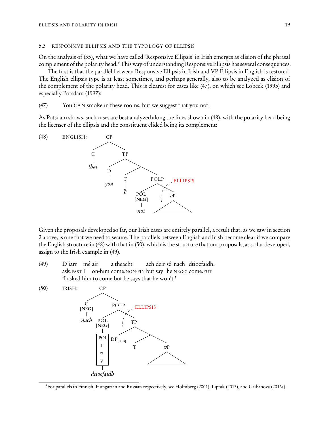#### 5.3 RESPONSIVE ELLIPSIS AND THE TYPOLOGY OF ELLIPSIS

On the analysis of [\(35\),](#page-13-0) what we have called 'Responsive Ellipsis' in Irish emerges as elision of the phrasal complement of the polarity head.<sup>[9](#page-18-0)</sup> This way of understanding Responsive Ellipsis has several consequences.

The first is that the parallel between Responsive Ellipsis in Irish and VP Ellipsis in English is restored. The English ellipsis type is at least sometimes, and perhaps generally, also to be analyzed as elision of the complement of the polarity head. This is clearest for cases like (47), on which see [Lobeck \(1995\)](#page-35-15) and especially [Potsdam \(1997\)](#page-36-14):

(47) You CAN smoke in these rooms, but we suggest that you not.

As Potsdam shows, such cases are best analyzed along the lines shown in (48), with the polarity head being the licenser of the ellipsis and the constituent elided being its complement:



Given the proposals developed so far, our Irish cases are entirely parallel, a result that, as we saw in section [2](#page-3-2) above, is one that we need to secure. The parallels between English and Irish become clear if we compare the English structure in (48) with that in (50), which is the structure that our proposals, as so far developed, assign to the Irish example in (49).

(49) D'iarr mé air ask.PAST I on-him come.NON-FIN but say he NEG-C come.FUT a theacht ach deir sé nach dtiocfaidh. 'I asked him to come but he says that he won't.'



<span id="page-18-0"></span><sup>9</sup>For parallels in Finnish, Hungarian and Russian respectively, see [Holmberg \(2001\)](#page-34-10), [Liptak \(2013\)](#page-35-16), and [Gribanova \(2016a](#page-33-6)).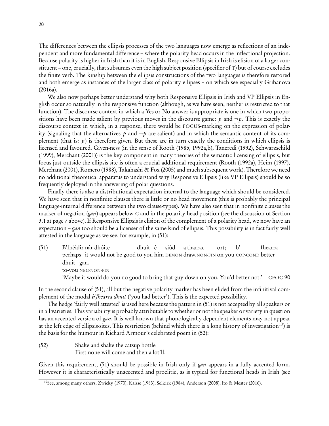The differences between the ellipsis processes of the two languages now emerge as reflections of an independent and more fundamental difference – where the polarity head occurs in the inflectional projection. Because polarity is higher in Irish than it is in English, Responsive Ellipsis in Irish is elision of a larger constituent – one, crucially, that subsumes even the high subject position (specifier ofT) but of course excludes the finite verb. The kinship between the ellipsis constructions of the two languages is therefore restored and both emerge as instances of the larger class of polarity ellipses – on which see especially [Gribanova](#page-33-6) [\(2016a\)](#page-33-6).

We also now perhaps better understand why both Responsive Ellipsis in Irish and VP Ellipsis in English occur so naturally in the responsive function (although, as we have seen, neither is restricted to that function). The discourse context in which a Yes or No answer is appropriate is one in which two propositions have been made salient by previous moves in the discourse game: p and  $\neg p$ . This is exactly the discourse context in which, in a response, there would be FOCUS-marking on the expression of polarity (signaling that the alternatives p and  $\neg p$  are salient) and in which the semantic content of its complement (that is:  $p$ ) is therefore given. But these are in turn exactly the conditions in which ellipsis is licensed and favoured. Given-ness (in the sense of [Rooth \(1985](#page-37-6), [1992a](#page-37-7)[,b](#page-37-8)), [Tancredi \(1992\)](#page-38-1), [Schwarzschild](#page-37-9) [\(1999](#page-37-9)), [Merchant \(2001](#page-36-15))) is the key component in many theories of the semantic licensing of ellipsis, but focus just outside the ellipsis-site is often a crucial additional requirement [\(Rooth \(1992a\)](#page-37-7), [Heim \(1997](#page-34-11)), [Merchant \(2001\)](#page-36-15), [Romero \(1988\)](#page-37-10), [Takahashi & Fox \(2005\)](#page-38-2) and much subsequent work). Therefore we need no additional theoretical apparatus to understand why Responsive Ellipsis (like VP Ellipsis) should be so frequently deployed in the answering of polar questions.

Finally there is also a distributional expectation internal to the language which should be considered. We have seen that in nonfinite clauses there is little or no head movement (this is probably the principal language-internal difference between the two clause-types). We have also seen that in nonfinite clauses the marker of negation (gan) appears below C and in the polarity head position (see the discussion of Section [3.1](#page-6-2) at page [7](#page-6-2) above). If Responsive Ellipsis is elision of the complement of a polarity head, we now have an expectation – gan too should be a licenser of the same kind of ellipsis. This possibility is in fact fairly well attested in the language as we see, for example, in (51):

(51) B'fhéidir nár dhóite perhaps it-would-not-be-good to-you him DEMON draw.NON-FIN on-you COP-COND better dhuit é siúd a tharrac ort; b' fhearra dhuit gan. to-you NEG-NON-FIN 'Maybe it would do you no good to bring that guy down on you. You'd better not.' CFOC 90

In the second clause of (51), all but the negative polarity marker has been elided from the infinitival complement of the modal b'fhearra dhuit ('you had better'). This is the expected possibility.

The hedge 'fairly well attested' is used here because the pattern in (51) is not accepted by all speakers or in all varieties. This variability is probably attributable to whether or not the speaker or variety in question has an accented version of *gan*. It is well known that phonologically dependent elements may not appear at the left edge of ellipsis-sites. This restriction (behind which there is a long history of investigation<sup>[10](#page-19-0)</sup>) is the basis for the humour in Richard Armour's celebrated poem in (52):

(52) Shake and shake the catsup bottle First none will come and then a lot'll.

Given this requirement, (51) should be possible in Irish only if *gan* appears in a fully accented form. However it is characteristically unaccented and proclitic, as is typical for functional heads in Irish (see

<span id="page-19-0"></span><sup>10</sup>See, among many others, [Zwicky \(1970\)](#page-38-3), [Kaisse \(1983\)](#page-34-12), [Selkirk \(1984](#page-37-11)), [Anderson \(2008\)](#page-32-14), [Ito & Mester \(2016\)](#page-34-13).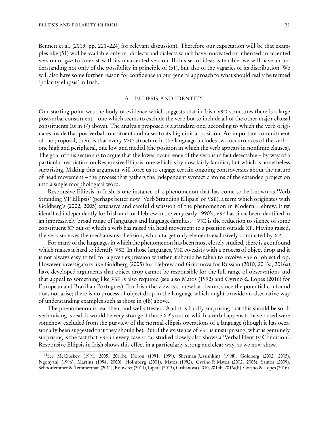[Bennett et al. \(2013:](#page-32-0) pp. 221–224) for relevant discussion). Therefore our expectation will be that examples like (51) will be available only in idiolects and dialects which have innovated or inherited an accented version of gan to co-exist with its unaccented version. If this set of ideas is tenable, we will have an understanding not only of the possibility in principle of (51), but also of the vagaries of its distribution. We will also have some further reason for confidence in our general approach to what should really be termed 'polarity ellipsis' in Irish.

#### 6 ELLIPSIS AND IDENTITY

Our starting point was the body of evidence which suggests that in Irish VSO structures there is a large postverbal constituent – one which seems to exclude the verb but to include all of the other major clausal constituents (as in [\(7\)](#page-3-1) above). The analysis proposed is a standard one, according to which the verb originates inside that postverbal constituent and raises to its high initial position. An important commitment of the proposal, then, is that every VSO structure in the language includes two occurrences of the verb – one high and peripheral, one low and medial (the position in which the verb appears in nonfinite clauses). The goal of this section is to argue that the lower occurrence of the verb is in fact detectable – by way of a particular restriction on Responsive Ellipsis, one which is by now fairly familiar, but which is nonetheless surprising. Making this argument will force us to engage certain ongoing controversies about the nature of head movement – the process that gathers the independent syntactic atoms of the extended projection into a single morphological word.

Responsive Ellipsis in Irish is one instance of a phenomenon that has come to be known as 'Verb Stranding VP Ellipsis' (perhaps better now 'Verb Stranding Ellipsis' or VSE), a term which originates with Goldberg's [\(2002](#page-33-10), [2005\)](#page-33-11) extensive and careful discussion of the phenomenon in Modern Hebrew. First identified independently for Irish and for Hebrew in the very early 1990's, VSE has since been identified in an impressively broad range of languages and language-families.<sup>[11](#page-20-0)</sup> VSE is the reduction to silence of some constituent XP out of which a verb has raised via head movement to a position outside XP. Having raised, the verb survives the mechanisms of elision, which target only elements exclusively dominated by XP.

For many of the languages in which the phenomenon has been most closely studied, there is a confound which makes it hard to identify VSE. In those languages, VSE co-exists with a process of object drop and it is not always easy to tell for a given expression whether it should be taken to involve VSE or object drop. However investigators like Goldberg [\(2005\)](#page-33-11) for Hebrew and Gribanova for Russian [\(2010](#page-33-12), [2013a,](#page-33-13) [2016a\)](#page-33-6) have developed arguments that object drop cannot be responsible for the full range of observations and that appeal to something like VSE is also required (see also [Matos \(1992](#page-35-17)) and [Cyrino & Lopes \(2016\)](#page-33-14) for European and Brazilian Portugues). For Irish the view is somewhat clearer, since the potential confound does not arise; there is no process of object drop in the language which might provide an alternative way of understanding examples such as those in [\(4b\)](#page-1-3) above.

The phenomenon is real then, and well-attested. And it is hardly surprising that this should be so. If verb-raising is real, it would be very strange if those XP's out of which a verb happens to have raised were somehow excluded from the purview of the normal ellipsis operations of a language (though it has occasionally been suggested that they should be). But if the existence of VSE is unsurprising, what is genuinely surprising is the fact that VSE in every case so far studied closely also shows a 'Verbal Identity Condition'. Responsive Ellipsis in Irish shows this effect in a particularly strong and clear way, as we now show.

<span id="page-20-0"></span><sup>11</sup>See [McCloskey \(1991](#page-35-0), [2005](#page-35-18), [2011b](#page-35-1)), [Doron \(1991](#page-33-15), [1999](#page-33-16)), [Sherman \(Ussishkin\) \(1998\)](#page-37-12), [Goldberg \(2002](#page-33-10), [2005](#page-33-11)), [Ngonyani \(1996](#page-36-16)), [Martins \(1994](#page-35-10), [2000](#page-35-19)), [Holmberg \(2001\)](#page-34-10), [Matos \(1992\)](#page-35-17), [Cyrino & Matos \(2002](#page-33-17), [2005](#page-33-18)), [Santos \(2009](#page-37-13)), [Schoorlemmer & Temmerman \(2011\)](#page-37-14), [Rouveret \(2011\)](#page-37-15), [Liptak \(2013](#page-35-16)), [Gribanova \(2010](#page-33-12), [2013b](#page-33-19), [2016a](#page-33-6)[,b](#page-34-14)), [Cyrino & Lopes \(2016](#page-33-14)).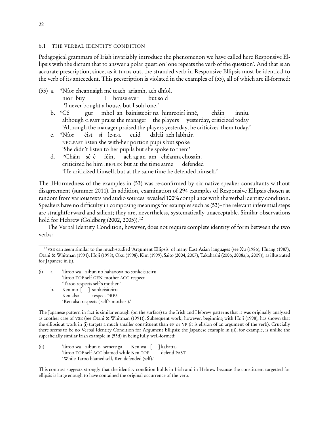### <span id="page-21-4"></span>6.1 THE VERBAL IDENTITY CONDITION

Pedagogical grammars of Irish invariably introduce the phenomenon we have called here Responsive Ellipsis with the dictum that to answer a polar question 'one repeats the verb of the question'. And that is an accurate prescription, since, as it turns out, the stranded verb in Responsive Ellipsis must be identical to the verb of its antecedent. This prescription is violated in the examples of (53), all of which are ill-formed:

- <span id="page-21-0"></span>(53) a. \*Níor cheannaigh mé teach ariamh, ach dhíol. nior buy I house ever but sold 'I never bought a house, but I sold one.'
	- b. \*Cé although <sup>C</sup>.PAST praise the manager the players yesterday, criticized today gur mhol an bainisteoir na himreoirí inné, cháin inniu. 'Although the manager praised the players yesterday, he criticized them today.'
	- c. \*Níor NEG.PAST listen she with-her portion pupils but spoke éist sí le-n-a cuid daltái ach labhair. 'She didn't listen to her pupils but she spoke to them'
	- d. \*Cháin sé é criticized he him .REFLEX but at the time same féin, ach ag an am chéanna chosain. defended 'He criticized himself, but at the same time he defended himself.'

<span id="page-21-2"></span>The ill-formedness of the examples in [\(53\)](#page-21-0) was re-confirmed by six native speaker consultants without disagreement (summer 2011). In addition, examination of 294 examples of Responsive Ellipsis chosen at random from various texts and audio sources revealed 100% compliance with the verbal identity condition. Speakers have no difficulty in composing meanings for examples such as (53)– the relevant inferential steps are straightforward and salient; they are, nevertheless, systematically unacceptable. Similar observations hold for Hebrew (Goldberg  $(2002, 2005)$  $(2002, 2005)$ ).<sup>[12](#page-21-1)</sup>

<span id="page-21-3"></span>The Verbal Identity Condition, however, does not require complete identity of form between the two verbs:

- (i) a. Taroo-wa zibun-no hahaooya-no sonkeisiteiru. Taroo-TOP self-GEN mother-ACC respect 'Taroo respects self's mother.'
	- b. Ken-mo [ ] sonkeisiteiru Ken-also respect-PRES 'Ken also respects ( self's mother ).'

The Japanese pattern in fact is similar enough (on the surface) to the Irish and Hebrew patterns that it was originally analyzed as another case of VSE (see [Otani & Whitman \(1991\)](#page-36-17)). Subsequent work, however, beginning with [Hoji \(1998\)](#page-34-16), has shown that the ellipsis at work in (i) targets a much smaller constituent than  $v$ P or VP (it is elision of an argument of the verb). Crucially there seems to be no Verbal Identity Condition for Argument Ellipsis; the Japanese example in (ii), for example, is unlike the superficially similar Irish example in [\(53d\)](#page-21-2) in being fully well-formed:

(ii) Taroo-wa zibun-o semete-ga Taroo-TOP self-ACC blamed-while Ken-TOP Ken-wa [ [ ] kabatta. defend-PAST 'While Taroo blamed self, Ken defended (self).'

This contrast suggests strongly that the identity condition holds in Irish and in Hebrew because the constituent targetted for ellipsis is large enough to have contained the original occurrence of the verb.

<span id="page-21-1"></span><sup>12</sup>VSE can seem similar to the much-studied 'Argument Ellipsis' of many East Asian languages (see [Xu \(1986](#page-38-4)), [Huang \(1987](#page-34-15)), [Otani & Whitman \(1991\)](#page-36-17), [Hoji \(1998\)](#page-34-16), [Oku \(1998\)](#page-36-18), [Kim \(1999](#page-34-17)), [Saito \(2004,](#page-37-16) [2007](#page-37-17)), [Takahashi \(2006,](#page-37-18) [2008a](#page-38-5)[,b,](#page-38-6) [2009](#page-38-7))), as illustrated for Japanese in (i).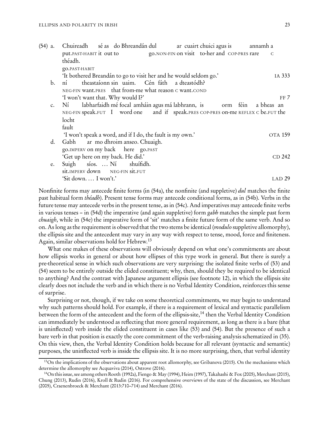| $(54)$ a.      | Chuireadh sé as do Bhreandán dul<br>ar cuairt chuici agus is annamh a                                                                                               |
|----------------|---------------------------------------------------------------------------------------------------------------------------------------------------------------------|
|                | put. PAST-HABIT it out to go. NON-FIN on visit to-her and COP-PRES rare<br>$\overline{C}$                                                                           |
|                | théadh.                                                                                                                                                             |
|                | go.PAST-HABIT                                                                                                                                                       |
|                | 'It bothered Breandán to go to visit her and he would seldom go.'<br>IA 333                                                                                         |
| $\mathbf{b}$ . | theastaíonn sin uaim. Cén fáth a dteastódh?<br>$n'_1$                                                                                                               |
|                | NEG-FIN want.PRES that from-me what reason C want.COND                                                                                                              |
|                | 'I won't want that. Why would I?'<br>FF 7                                                                                                                           |
| c.             | labharfaidh mé focal amháin agus má labhrann, is corm féin a bheas an<br>$N_1$<br>NEG-FIN speak.FUT I word one and if speak.PRES COP-PRES on-me REFLEX C be.FUT the |
|                | locht                                                                                                                                                               |
|                | fault                                                                                                                                                               |
|                | 'I won't speak a word, and if I do, the fault is my own.'<br><b>OTA 159</b>                                                                                         |
| d.             | Gabh ar mo dhroim anseo. Chuaigh.                                                                                                                                   |
|                | go.IMPERV on my back here go.PAST                                                                                                                                   |
|                | 'Get up here on my back. He did.'<br>CD 242                                                                                                                         |
| e.             | Suigh síos.  Ní shuífidh.                                                                                                                                           |
|                | sit. IMPERV down NEG-FIN Sit.FUT                                                                                                                                    |
|                | 'Sit down I won't.'<br>LAD <sub>29</sub>                                                                                                                            |
|                |                                                                                                                                                                     |

Nonfinite forms may antecede finite forms (in (54a), the nonfinite (and suppletive) *dul* matches the finite past habitual form théadh). Present tense forms may antecede conditional forms, as in (54b). Verbs in the future tense may antecede verbs in the present tense, as in (54c). And imperatives may antecede finite verbs in various tenses – in (54d) the imperative (and again suppletive) form *gabh* matches the simple past form *chuaigh*, while in (54e) the imperative form of 'sit' matches a finite future form of the same verb. And so on. As long as the requirement is observed that the two stems be identical (modulo suppletive allomorphy), the ellipsis site and the antecedent may vary in any way with respect to tense, mood, force and finiteness. Again, similar observations hold for Hebrew.[13](#page-22-0)

What one makes of these observations will obviously depend on what one's commitments are about how ellipsis works in general or about how ellipses of this type work in general. But there is surely a pre-theoretical sense in which such observations are very surprising: the isolated finite verbs of (53) and (54) seem to be entirely outside the elided constituent; why, then, should they be required to be identical to anything? And the contrast with Japanese argument ellipsis (see footnote [12\)](#page-21-1), in which the ellipsis site clearly does not include the verb and in which there is no Verbal Identity Condition, reinforces this sense of surprise.

Surprising or not, though, if we take on some theoretical commitments, we may begin to understand why such patterns should hold. For example, if there is a requirement of lexical and syntactic parallelism between the form of the antecedent and the form of the ellipsis-site,<sup>[14](#page-22-1)</sup> then the Verbal Identity Condition can immediately be understood as reflecting that more general requirement, as long as there is a bare (that is uninflected) verb inside the elided constituent in cases like (53) and (54). But the presence of such a bare verb in that position is exactly the core commitment of the verb-raising analysis schematized in [\(35\).](#page-13-0) On this view, then, the Verbal Identity Condition holds because for all relevant (syntactic and semantic) purposes, the uninflected verb is inside the ellipsis site. It is no more surprising, then, that verbal identity

<span id="page-22-0"></span> $<sup>13</sup>$ On the implications of the observations about apparent root allomorphy, see [Gribanova \(2015\)](#page-33-20). On the mechanisms which</sup> determine the allomorphy see [Acquaviva \(2014\)](#page-32-4), [Ostrove \(2016\)](#page-36-0).

<span id="page-22-1"></span><sup>14</sup>On this issue, see among others [Rooth \(1992a\)](#page-37-7), [Fiengo & May \(1994\)](#page-33-21), [Heim \(1997\)](#page-34-11), [Takahashi & Fox \(2005\)](#page-38-2), [Merchant \(2015](#page-36-19)), [Chung \(2013](#page-32-15)), [Rudin \(2016](#page-37-19)), [Kroll & Rudin \(2016\)](#page-34-18). For comprehensive overviews of the state of the discussion, see [Merchant](#page-36-20) [\(2005\)](#page-36-20), [Craenenbroeck & Merchant \(2013:](#page-33-22)710–714) and [Merchant \(2016](#page-36-21)).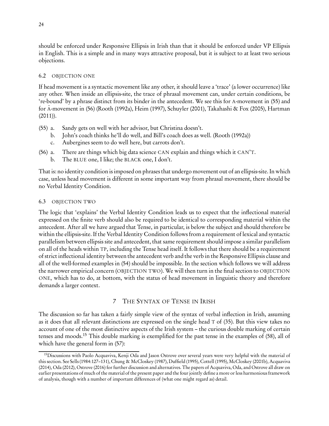should be enforced under Responsive Ellipsis in Irish than that it should be enforced under VP Ellipsis in English. This is a simple and in many ways attractive proposal, but it is subject to at least two serious objections.

# 6.2 OBJECTION ONE

If head movement is a syntactic movement like any other, it should leave a 'trace' (a lower occurrence) like any other. When inside an ellipsis-site, the trace of phrasal movement can, under certain conditions, be 're-bound' by a phrase distinct from its binder in the antecedent. We see this for A-movement in (55) and for <sup>A</sup>¯-movement in (56) [\(Rooth \(1992a](#page-37-7)), [Heim \(1997\)](#page-34-11), [Schuyler \(2001\)](#page-37-20), [Takahashi & Fox \(2005\)](#page-38-2), [Hartman](#page-34-19)  $(2011)$  $(2011)$ ).

- (55) a. Sandy gets on well with her advisor, but Christina doesn't.
	- b. John's coach thinks he'll do well, and Bill's coach does as well. [\(Rooth \(1992a\)](#page-37-7))
	- c. Aubergines seem to do well here, but carrots don't.
- (56) a. There are things which big data science CAN explain and things which it CAN'T.
	- b. The BLUE one, I like; the BLACK one, I don't.

That is: no identity condition is imposed on phrases that undergo movement out of an ellipsis-site. In which case, unless head movement is different in some important way from phrasal movement, there should be no Verbal Identity Condition.

# 6.3 OBJECTION TWO

The logic that 'explains' the Verbal Identity Condition leads us to expect that the inflectional material expressed on the finite verb should also be required to be identical to corresponding material within the antecedent. After all we have argued that Tense, in particular, is below the subject and should therefore be within the ellipsis-site. If the Verbal Identity Condition follows from a requirement of lexical and syntactic parallelism between ellipsis site and antecedent, that same requirement should impose a similar parallelism on all of the heads within TP, including the Tense head itself. It follows that there should be a requirement of strict inflectional identity between the antecedent verb and the verb in the Responsive Ellipsis clause and all of the well-formed examples in [\(54\)](#page-21-3) should be impossible. In the section which follows we will address the narrower empirical concern (OBJECTION TWO). We will then turn in the final section to OBJECTION ONE, which has to do, at bottom, with the status of head movement in linguistic theory and therefore demands a larger context.

# 7 THE SYNTAX OF TENSE IN IRISH

The discussion so far has taken a fairly simple view of the syntax of verbal inflection in Irish, assuming as it does that all relevant distinctions are expressed on the single head T of [\(35\).](#page-13-0) But this view takes no account of one of the most distinctive aspects of the Irish system – the curious double marking of certain tenses and moods.[15](#page-23-0) This double marking is exemplified for the past tense in the examples of (58), all of which have the general form in  $(57)$ :

<span id="page-23-0"></span><sup>&</sup>lt;sup>15</sup>Discussions with Paolo Acquaviva, Kenji Oda and Jason Ostrove over several years were very helpful with the material of this section. See [Sells\(1984:](#page-37-21)127–131), [Chung & McCloskey \(1987\)](#page-33-4), [Duffield \(1995](#page-33-3)), [Cottell \(1995](#page-33-23)), [McCloskey \(2001b](#page-35-8)), [Acquaviva](#page-32-4) [\(2014\)](#page-32-4), [Oda \(2012](#page-36-5)), [Ostrove \(2016](#page-36-0)) for further discussion and alternatives. The papers of Acquaviva, Oda, and Ostrove all draw on earlier presentations of much of the material of the present paper and the four jointly define a more or less harmonious framework of analysis, though with a number of important differences of (what one might regard as) detail.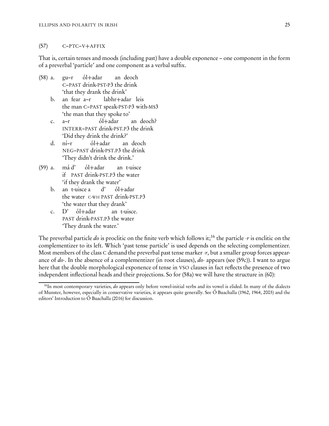#### (57) C–PTC–V+AFFIX

<span id="page-24-1"></span>That is, certain tenses and moods (including past) have a double exponence – one component in the form of a preverbal 'particle' and one component as a verbal suffix.

- (58) a. gu–r C–PAST drink-PST-P3 the drink ól+adar an deoch 'that they drank the drink'
	- b. the man C–PAST speak-PST-P3 with-MS3 fear a–r labhr+adar leis 'the man that they spoke to'
	- c. a–r INTERR–PAST drink-PST.P3 the drink ól+adar an deoch? 'Did they drink the drink?'
	- d. ní–r NEG–PAST drink-PST.P3 the drink ól+adar an deoch 'They didn't drink the drink.'
- <span id="page-24-2"></span> $(59)$  a. if PAST drink-PST.P3 the water má d' ól+adar an t-uisce 'if they drank the water'
	- b. an t-uisce a d' the water C-WH PAST drink-PST.P3 ól+adar 'the water that they drank'
	- c. PAST drink-PAST.P3 the water  $D'$  ól+adar an t-uisce. 'They drank the water.'

The preverbal particle do is proclitic on the finite verb which follows it;<sup>[16](#page-24-0)</sup> the particle  $\cdot r$  is enclitic on the complementizer to its left. Which 'past tense particle' is used depends on the selecting complementizer. Most members of the class C demand the preverbal past tense marker  $\cdot r$ , but a smaller group forces appearance of  $do$ . In the absence of a complementizer (in root clauses),  $do$ - appears (see (59c)). I want to argue here that the double morphological exponence of tense in VSO clauses in fact reflects the presence of two independent inflectional heads and their projections. So for (58a) we will have the structure in (60):

<span id="page-24-3"></span><span id="page-24-0"></span><sup>&</sup>lt;sup>16</sup>In most contemporary varieties, do appears only before vowel-initial verbs and its vowel is elided. In many of the dialects of Munster, however, especially in conservative varieties, it appears quite generally. See [Ó Buachalla \(1962](#page-36-22), [1964](#page-36-23), [2003](#page-36-24)) and the editors' Introduction to [Ó Buachalla \(2016](#page-36-25)) for discussion.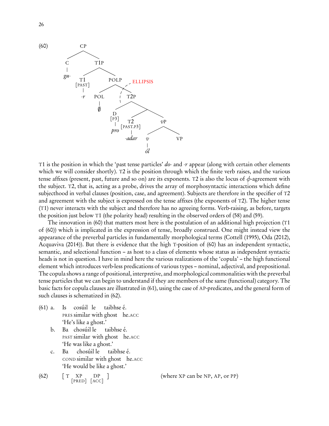

T1 is the position in which the 'past tense particles' do- and -r appear (along with certain other elements which we will consider shortly). T2 is the position through which the finite verb raises, and the various tense affixes (present, past, future and so on) are its exponents. T2 is also the locus of *φ*-agreement with the subject. T2, that is, acting as a probe, drives the array of morphosyntactic interactions which define subjecthood in verbal clauses (position, case, and agreement). Subjects are therefore in the specifier of T2 and agreement with the subject is expressed on the tense affixes (the exponents of T2). The higher tense (T1) never interacts with the subject and therefore has no agreeing forms. Verb-raising, as before, targets the position just below T1 (the polarity head) resulting in the observed orders of [\(58\)](#page-24-1) and [\(59\).](#page-24-2)

The innovation in (60) that matters most here is the postulation of an additional high projection (T1 of (60)) which is implicated in the expression of tense, broadly construed. One might instead view the appearance of the preverbal particles in fundamentally morphological terms [\(Cottell \(1995\)](#page-33-23), [Oda \(2012](#page-36-5)), [Acquaviva \(2014\)](#page-32-4)). But there is evidence that the high T-position of (60) has an independent syntactic, semantic, and selectional function – as host to a class of elements whose status as independent syntactic heads is not in question. I have in mind here the various realizations of the 'copula' – the high functional element which introduces verb-less predications of various types – nominal, adjectival, and prepositional. The copula shows a range of positional, interpretive, and morphological commonalities with the preverbal tense particles that we can begin to understand if they are members of the same (functional) category. The basic facts for copula clauses are illustrated in (61), using the case of AP-predicates, and the general form of such clauses is schematized in (62).

- (61) a. Is PRES similar with ghost he.ACC cosúil le taibhse é. 'He's like a ghost.'
	- b. Ba chosúil le PAST similar with ghost he.ACC taibhse é. 'He was like a ghost.'
	- c. Ba COND similar with ghost he.ACC chosúil le taibhse é. 'He would be like a ghost.'
- $(62)$   $\boxed{\text{T} \quad \text{XP}}$ [PRED] [ACC] DP

<span id="page-25-0"></span>] (where XP can be NP, AP, or PP)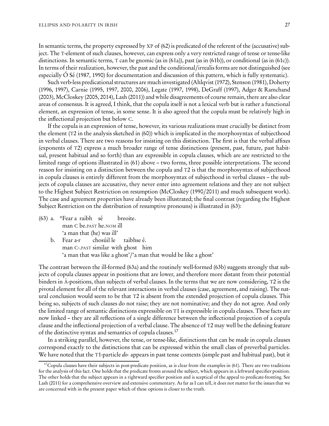In semantic terms, the property expressed by XP of (62) is predicated of the referent of the (accusative) subject. The T-element of such clauses, however, can express only a very restricted range of tense or tense-like distinctions. In semantic terms, T can be gnomic (as in (61a)), past (as in (61b)), or conditional (as in (61c)). In terms of their realization, however, the past and the conditional/irrealis forms are not distinguished (see especially [Ó Sé \(1987,](#page-36-26) [1990\)](#page-36-27) for documentation and discussion of this pattern, which is fully systematic).

Such verb-less predicational structures are much investigated [\(Ahlqvist \(1972\)](#page-32-16), [Stenson \(1981\)](#page-37-22), [Doherty](#page-33-9) [\(1996](#page-33-9), [1997](#page-33-24)), [Carnie \(1995](#page-32-1), [1997](#page-32-17), [2000,](#page-32-18) [2006\)](#page-32-19), [Legate \(1997,](#page-35-20) [1998\)](#page-35-21), [DeGraff \(1997\)](#page-33-25), [Adger & Ramchand](#page-32-20) [\(2003](#page-32-20)), [McCloskey \(2005,](#page-35-18) [2014\)](#page-35-5), [Lash \(2011\)](#page-34-20)) and while disagreements of course remain, there are also clear areas of consensus. It is agreed, I think, that the copula itself is not a lexical verb but is rather a functional element, an expression of tense, in some sense. It is also agreed that the copula must be relatively high in the inflectional projection but below C.

If the copula is an expression of tense, however, its various realizations must crucially be distinct from the element (T2 in the analysis sketched in [\(60\)\)](#page-24-3) which is implicated in the morphosyntax of subjecthood in verbal clauses. There are two reasons for insisting on this distinction. The first is that the verbal affixes (exponents of T2) express a much broader range of tense distinctions (present, past, future, past habitual, present habitual and so forth) than are expressible in copula clauses, which are are restricted to the limited range of options illustrated in [\(61\)](#page-25-0) above – two forms, three possible interpretations. The second reason for insisting on a distinction between the copula and T2 is that the morphosyntax of subjecthood in copula clauses is entirely different from the morphosyntax of subjecthood in verbal clauses – the subjects of copula clauses are accusative, they never enter into agreement relations and they are not subject to the Highest Subject Restriction on resumption [\(McCloskey \(1990](#page-35-22)/2011) and much subsequent work). The case and agreement properties have already been illustrated; the final contrast (regarding the Highest Subject Restriction on the distribution of resumptive pronouns) is illustrated in (63):

- (63) a. \*Fear a raibh sé man C be.PAST he.NOM ill breoite. 'a man that (he) was ill'
	- b. Fear a-r man C-.PAST similar with ghost him chosúil le taibhse é. 'a man that was like a ghost'/'a man that would be like a ghost'

The contrast between the ill-formed (63a) and the routinely well-formed (63b) suggests strongly that subjects of copula clauses appear in positions that are lower, and therefore more distant from their potential binders in A-positions, than subjects of verbal clauses. In the terms that we are now considering, T2 is the pivotal element for all of the relevant interactions in verbal clauses (case, agreement, and raising). The natural conclusion would seem to be that T2 is absent from the extended projection of copula clauses. This being so, subjects of such clauses do not raise; they are not nominative; and they do not agree. And only the limited range of semantic distinctions expressible on T1 is expressible in copula clauses. These facts are now linked – they are all reflections of a single difference between the inflectional projection of a copula clause and the inflectional projection of a verbal clause. The absence of T2 may well be the defining feature of the distinctive syntax and semantics of copula clauses.<sup>[17](#page-26-0)</sup>

In a striking parallel, however, the tense, or tense-like, distinctions that can be made in copula clauses correspond exactly to the distinctions that can be expressed within the small class of preverbal particles. We have noted that the T1-particle do- appears in past tense contexts (simple past and habitual past), but it

<span id="page-26-0"></span> $17$ Copula clauses have their subjects in post-predicate position, as is clear from the examples in [\(61\).](#page-25-0) There are two traditions for the analysis of this fact. One holds that the predicate fronts around the subject, which appears in a leftward specifier position. The other holds that the subject appears in a rightward specifier position and is sceptical of the appeal to predicate-fronting. See [Lash \(2011](#page-34-20)) for a comprehensive overview and extensive commentary. As far as I can tell, it does not matter for the issues that we are concerned with in the present paper which of these options is closer to the truth.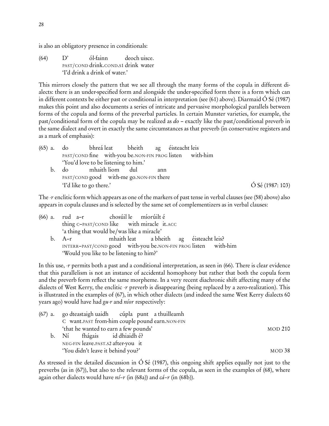is also an obligatory presence in conditionals:

 $(64)$  D' PAST/COND drink.COND.S1 drink water ól-fainn deoch uisce. 'I'd drink a drink of water.'

This mirrors closely the pattern that we see all through the many forms of the copula in different dialects: there is an under-specified form and alongside the under-specified form there is a form which can in different contexts be either past or conditional in interpretation (see [\(61\)](#page-25-0) above). Diarmaid Ó Sé [\(1987\)](#page-36-26) makes this point and also documents a series of intricate and pervasive morphological parallels between forms of the copula and forms of the preverbal particles. In certain Munster varieties, for example, the past/conditional form of the copula may be realized as do – exactly like the past/conditional preverb in the same dialect and overt in exactly the same circumstances as that preverb (in conservative registers and as a mark of emphasis):

|    | (65) a. do bhreá leat bheith ag éisteacht leis |     |                                                         |                            |
|----|------------------------------------------------|-----|---------------------------------------------------------|----------------------------|
|    |                                                |     | PAST/COND fine with-you be.NON-FIN PROG listen with-him |                            |
|    | 'You'd love to be listening to him.'           |     |                                                         |                            |
| b. | do mhaith liom dul                             | ann |                                                         |                            |
|    | PAST/COND good with-me go.NON-FIN there        |     |                                                         |                            |
|    | 'I'd like to go there.'                        |     |                                                         | $\acute{O}$ Sé (1987: 103) |

The -r enclitic form which appears as one of the markers of past tense in verbal clauses (see [\(58\)](#page-24-1) above) also appears in copula clauses and is selected by the same set of complementizers as in verbal clauses:

|  | (66) a. rud a-r chosúil le míorúilt é                          |  |  |
|--|----------------------------------------------------------------|--|--|
|  | thing c-PAST/COND like with miracle it.ACC                     |  |  |
|  | 'a thing that would be/was like a miracle'                     |  |  |
|  | b. A-r mhaith leat a bheith ag éisteacht leis?                 |  |  |
|  | INTERR-PAST/COND good with-you be.NON-FIN PROG listen with-him |  |  |
|  | 'Would you like to be listening to him?'                       |  |  |

In this use, -r permits both a past and a conditional interpretation, as seen in (66). There is clear evidence that this parallelism is not an instance of accidental homophony but rather that both the copula form and the preverb form reflect the same morpheme. In a very recent diachronic shift affecting many of the dialects of West Kerry, the enclitic  $\cdot r$  preverb is disappearing (being replaced by a zero-realization). This is illustrated in the examples of (67), in which other dialects (and indeed the same West Kerry dialects 60 years ago) would have had  $gu-r$  and *nior* respectively:

| (67) a. go dteastaigh uaidh cúpla punt a thuilleamh |         |
|-----------------------------------------------------|---------|
| C want. PAST from-him couple pound earn. NON-FIN    |         |
| 'that he wanted to earn a few pounds'               | MOD 210 |
| b. Ní fhágais id dhiaidh é?                         |         |
| NEG-FIN leave.PAST.S2 after-you it                  |         |
| 'You didn't leave it behind you?'                   | MOD 38  |

As stressed in the detailed discussion in [Ó Sé \(1987\)](#page-36-26), this ongoing shift applies equally not just to the preverbs (as in (67)), but also to the relevant forms of the copula, as seen in the examples of (68), where again other dialects would have  $n\ell$ –r (in (68a)) and cá–r (in (68b)).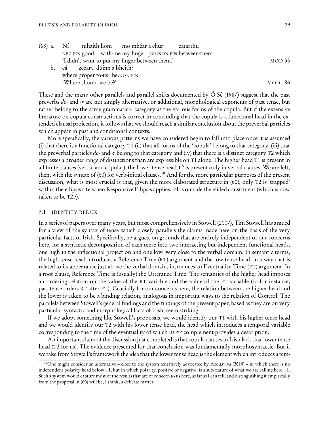|  | (68) a. Ní mhaith liom mo mhéar a chur eatarthu         |                |
|--|---------------------------------------------------------|----------------|
|  | NEG-FIN good with-me my finger put.NON-FIN between-them |                |
|  | 'I didn't want to put my finger between them.'          | MOD33          |
|  | b. cá gceart dúinn a bheith?                            |                |
|  | where proper to-us be.NON-FIN                           |                |
|  | 'Where should we be?'                                   | <b>MOD 186</b> |

These and the many other parallels and parallel shifts documented by Ó Sé [\(1987\)](#page-36-26) suggest that the past preverbs do- and -r are not simply alternative, or additional, morphological exponents of past tense, but rather belong to the same grammatical category as the various forms of the copula. But if the extensive literature on copula constructions is correct in concluding that the copula is a functional head in the extended clausal projection, it follows that we should reach a similar conclusion about the preverbal particles which appear in past and conditional contexts.

More specifically, the various patterns we have considered begin to fall into place once it is assumed (i) that there is a functional category T1 (ii) that all forms of the 'copula' belong to that category, (iii) that the preverbal particles do- and -r belong to that category and (iv) that there is a distinct category T2 which expresses a broader range of distinctions than are expressible on T1 alone. The higher head T1 is present in all finite clauses (verbal and copular); the lower tense head T2 is present only in verbal clauses. We are left, then, with the syntax of [\(60\)](#page-24-3) for verb-initial clauses.<sup>[18](#page-28-0)</sup> And for the more particular purposes of the present discussion, what is most crucial is that, given the more elaborated structure in [\(60\),](#page-24-3) only T2 is 'trapped' within the ellipsis site when Responsive Ellipsis applies. T1 is outside the elided constituent (which is now taken to be T2P).

#### 7.1 IDENTITY REDUX

In a series of papers over many years, but most comprehensively in [Stowell \(2007\)](#page-37-23), Tim Stowell has argued for a view of the syntax of tense which closely parallels the claims made here on the basis of the very particular facts of Irish. Specifically, he argues, on grounds that are entirely independent of our concerns here, for a syntactic decomposition of each tense into two interacting but independent functional heads, one high in the inflectional projection and one low, very close to the verbal domain. In semantic terms, the high tense head introduces a Reference Time (RT) argument and the low tense head, in a way that is related to its appearance just above the verbal domain, introduces an Eventuality Time (ET) argument. In a root clause, Reference Time is (usually) the Utterance Time. The semantics of the higher head imposes an ordering relation on the value of the RT variable and the value of the ET variable (so for instance, past tense orders RT after ET). Crucially for our concerns here, the relation between the higher head and the lower is taken to be a binding relation, analogous in important ways to the relation of Control. The parallels between Stowell's general findings and the findings of the present paper, based as they are on very particular syntactic and morphological facts of Irish, seem striking.

If we adopt something like Stowell's proposals, we would identify our T1 with his higher tense head and we would identify our T2 with his lower tense head, the head which introduces a temporal variable corresponding to the time of the eventuality of which its  $v_{\text{P}}$  complement provides a description.

An important claim of the discussion just completed is that copula clauses in Irish lack that lower tense head (T2 for us). The evidence presented for that conclusion was fundamentally morphosyntactic. But if we take from Stowell's framework the idea that the lower tense head is the element which introduces a tem-

<span id="page-28-0"></span> $18$ One might consider an alternative – close to the system tentatively advocated by [Acquaviva \(2014\)](#page-32-4) – in which there is no independent polarity head below T1, but in which polarity, positive or negative, is a sub-feature of what we are calling here T1. Such a system would capture most of the results that are of concern to us here, as far as I can tell, and distinguishing it empirically from the proposal in [\(60\)](#page-24-3) will be, I think, a delicate matter.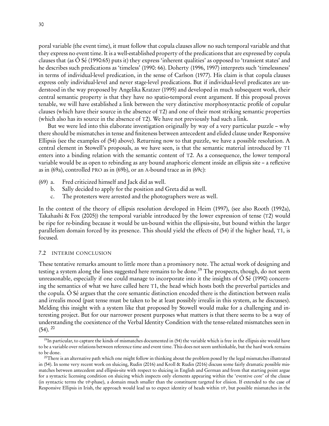poral variable (the event time), it must follow that copula clauses allow no such temporal variable and that they express no event time. It is a well-established property of the predications that are expressed by copula clauses that (as [Ó Sé \(1990:](#page-36-27)65) puts it) they express 'inherent qualities' as opposed to 'transient states' and he describes such predications as 'timeless' [\(1990](#page-36-27): 66). [Doherty \(1996,](#page-33-9) [1997](#page-33-24)) interprets such 'timelessness' in terms of individual-level predication, in the sense of [Carlson \(1977\)](#page-32-21). His claim is that copula clauses express only individual-level and never stage-level predications. But if individual-level predicates are understood in the way proposed by Angelika Kratzer [\(1995](#page-34-21)) and developed in much subsequent work, their central semantic property is that they have no spatio-temporal event argument. If this proposal proves tenable, we will have established a link between the very distinctive morphosyntactic profile of copular clauses (which have their source in the absence of T2) and one of their most striking semantic properties (which also has its source in the absence of T2). We have not previously had such a link.

But we were led into this elaborate investigation originally by way of a very particular puzzle – why there should be mismatches in tense and finiteness between antecedent and elided clause under Responsive Ellipsis (see the examples of [\(54\)](#page-21-3) above). Returning now to that puzzle, we have a possible resolution. A central element in Stowell's proposals, as we have seen, is that the semantic material introduced by T1 enters into a binding relation with the semantic content of T2. As a consequence, the lower temporal variable would be as open to rebinding as any bound anaphoric element inside an ellipsis site – a reflexive as in (69a), controlled PRO as in (69b), or an A-bound trace as in (69c):

- (69) a. Fred criticized himself and Jack did as well.
	- b. Sally decided to apply for the position and Greta did as well.
	- c. The protesters were arrested and the photographers were as well.

In the context of the theory of ellipsis resolution developed in [Heim \(1997\)](#page-34-11), (see also [Rooth \(1992a](#page-37-7)), [Takahashi & Fox \(2005\)](#page-38-2)) the temporal variable introduced by the lower expression of tense (T2) would be ripe for re-binding because it would be un-bound within the ellipsis-site, but bound within the larger parallelism domain forced by its presence. This should yield the effects of [\(54\)](#page-21-3) if the higher head, T1, is focused.

#### 7.2 INTERIM CONCLUSION

These tentative remarks amount to little more than a promissory note. The actual work of designing and testing a system along the lines suggested here remains to be done.<sup>[19](#page-29-0)</sup> The prospects, though, do not seem unreasonable, especially if one could manage to incorporate into it the insights of [Ó Sé \(1990\)](#page-36-27) concerning the semantics of what we have called here T1, the head which hosts both the preverbal particles and the copula. Ó Sé argues that the core semantic distinction encoded there is the distinction between realis and irrealis mood (past tense must be taken to be at least possibly irrealis in this system, as he discusses). Melding this insight with a system like that proposed by Stowell would make for a challenging and interesting project. But for our narrower present purposes what matters is that there seems to be a way of understanding the coexistence of the Verbal Identity Condition with the tense-related mismatches seen in  $(54)$ .  $^{20}$  $^{20}$  $^{20}$ 

<span id="page-29-0"></span> $19$ In particular, to capture the kinds of mismatches documented in  $(54)$  the variable which is free in the ellipsis site would have to be a variable over relations between reference time and event time. This does not seem unthinkable, but the hard work remains to be done.

<span id="page-29-1"></span> $^{20}$ There is an alternative path which one might follow in thinking about the problem posed by the legal mismatches illustrated in [\(54\).](#page-21-3) In some very recent work on sluicing, [Rudin \(2016\)](#page-37-19) and [Kroll & Rudin \(2016](#page-34-18)) discuss some fairly dramatic possible mismatches between antecedent and ellipsis-site with respect to sluicing in English and German and from that starting point argue for a syntactic licensing condition on sluicing which inspects only elements appearing within the 'eventive core' of the clause (in syntactic terms the vP-phase), a domain much smaller than the constituent targeted for elision. If extended to the case of Responsive Ellipsis in Irish, the approach would lead us to expect identity of heads within  $v$ P, but possible mismatches in the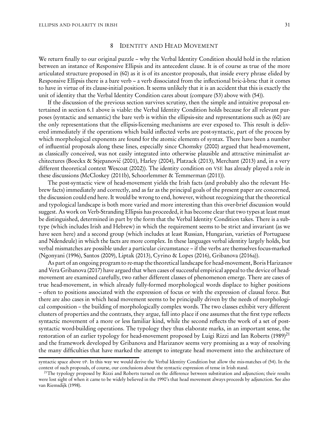#### 8 IDENTITY AND HEAD MOVEMENT

We return finally to our original puzzle – why the Verbal Identity Condition should hold in the relation between an instance of Responsive Ellipsis and its antecedent clause. It is of course as true of the more articulated structure proposed in [\(60\)](#page-24-3) as it is of its ancestor proposals, that inside every phrase elided by Responsive Ellipsis there is a bare verb – a verb dissociated from the inflectional bric-à-brac that it comes to have in virtue of its clause-initial position. It seems unlikely that it is an accident that this is exactly the unit of identity that the Verbal Identity Condition cares about (compare [\(53\)](#page-21-0) above with [\(54\)\)](#page-21-3).

If the discussion of the previous section survives scrutiny, then the simple and intuitive proposal entertained in section [6.1](#page-21-4) above is viable: the Verbal Identity Condition holds because for all relevant purposes (syntactic and semantic) the bare verb is within the ellipsis-site and representations such as [\(60\)](#page-24-3) are the only representations that the ellipsis-licensing mechanisms are ever exposed to. This result is delivered immediately if the operations which build inflected verbs are post-syntactic, part of the process by which morphological exponents are found for the atomic elements of syntax. There have been a number of influential proposals along these lines, especially since Chomsky [\(2000\)](#page-32-7) argued that head-movement, as classically conceived, was not easily integrated into otherwise plausible and attractive minimalist ar-chitectures (Boeckx & Stjepanović (2001), [Harley \(2004\)](#page-34-22), [Platzack \(2013](#page-36-28)), [Merchant \(2013\)](#page-36-29) and, in a very different theoretical context [Wescoat \(2002\)](#page-38-8)). The identity condition on VSE has already played a role in these discussions [\(McCloskey \(2011b\)](#page-35-1), [Schoorlemmer & Temmerman \(2011](#page-37-14))).

The post-syntactic view of head-movement yields the Irish facts (and probably also the relevant Hebrew facts) immediately and correctly, and as far as the principal goals of the present paper are concerned, the discussion could end here. It would be wrong to end, however, without recognizing that the theoretical and typological landscape is both more varied and more interesting than this over-brief discussion would suggest. As work on Verb-Stranding Ellipsis has proceeded, it has become clear that two types at least must be distinguished, determined in part by the form that the Verbal Identity Condition takes. There is a subtype (which includes Irish and Hebrew) in which the requirement seems to be strict and invariant (as we have seen here) and a second group (which includes at least Russian, Hungarian, varieties of Portuguese and Ndendeule) in which the facts are more complex. In these languages verbal identity largely holds, but verbal mismatches are possible under a particular circumstance – if the verbs are themselves focus-marked [\(Ngonyani \(1996](#page-36-16)), [Santos \(2009\)](#page-37-13), [Liptak \(2013\)](#page-35-16), [Cyrino & Lopes \(2016](#page-33-14)), [Gribanova \(2016a](#page-33-6))).

As part of an ongoing program to re-map the theoretical landscape for head-movement, Boris Harizanov and Vera Gribanova [\(2017\)](#page-34-23) have argued that when cases of successful empirical appeal to the device of headmovement are examined carefully, two rather different classes of phenomenon emerge. There are cases of true head-movement, in which already fully-formed morphological words displace to higher positions – often to positions associated with the expression of focus or with the expression of clausal force. But there are also cases in which head movement seems to be principally driven by the needs of morphological composition – the building of morphologically complex words. The two classes exhibit very different clusters of properties and the contrasts, they argue, fall into place if one assumes that the first type reflects syntactic movement of a more or less familiar kind, while the second reflects the work of a set of postsyntactic word-building operations. The typology they thus elaborate marks, in an important sense, the restoration of an earlier typology for head-movement proposed by Luigi Rizzi and Ian Roberts [\(1989\)](#page-37-24)<sup>[21](#page-30-0)</sup> and the framework developed by Gribanova and Harizanov seems very promising as a way of resolving the many difficulties that have marked the attempt to integrate head movement into the architecture of

syntactic space above vP. In this way we would derive the Verbal Identity Condition but allow the mis-matches of [\(54\).](#page-21-3) In the context of such proposals, of course, our conclusions about the syntactic expression of tense in Irish stand.

<span id="page-30-0"></span> $^{21}$ The typology proposed by Rizzi and Roberts turned on the difference between substitution and adjunction; their results were lost sight of when it came to be widely believed in the 1990's that head movement always proceeds by adjunction. See also van Riemsdijk [\(1998\)](#page-36-30).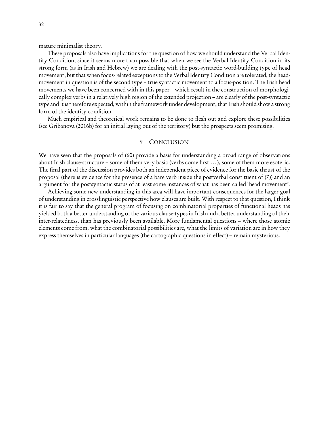mature minimalist theory.

These proposals also have implications for the question of how we should understand the Verbal Identity Condition, since it seems more than possible that when we see the Verbal Identity Condition in its strong form (as in Irish and Hebrew) we are dealing with the post-syntactic word-building type of head movement, but that when focus-related exceptions to the Verbal Identity Condition are tolerated, the headmovement in question is of the second type – true syntactic movement to a focus-position. The Irish head movements we have been concerned with in this paper – which result in the construction of morphologically complex verbs in a relatively high region of the extended projection – are clearly of the post-syntactic type and it is therefore expected, within the framework under development, that Irish should show a strong form of the identity condition.

Much empirical and theoretical work remains to be done to flesh out and explore these possibilities (see [Gribanova \(2016b\)](#page-34-14) for an initial laying out of the territory) but the prospects seem promising.

# 9 CONCLUSION

We have seen that the proposals of [\(60\)](#page-24-3) provide a basis for understanding a broad range of observations about Irish clause-structure – some of them very basic (verbs come first ...), some of them more esoteric. The final part of the discussion provides both an independent piece of evidence for the basic thrust of the proposal (there is evidence for the presence of a bare verb inside the postverbal constituent of [\(7\)\)](#page-3-1) and an argument for the postsyntactic status of at least some instances of what has been called 'head movement'.

Achieving some new understanding in this area will have important consequences for the larger goal of understanding in crosslinguistic perspective how clauses are built. With respect to that question, I think it is fair to say that the general program of focusing on combinatorial properties of functional heads has yielded both a better understanding of the various clause-types in Irish and a better understanding of their inter-relatedness, than has previously been available. More fundamental questions – where those atomic elements come from, what the combinatorial possibilities are, what the limits of variation are in how they express themselves in particular languages (the cartographic questions in effect) – remain mysterious.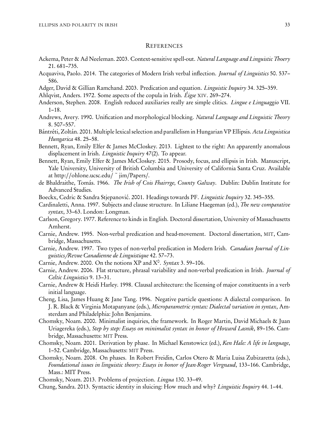#### **REFERENCES**

- <span id="page-32-10"></span>Ackema, Peter & Ad Neeleman. 2003. Context-sensitive spell-out. Natural Language and Linguistic Thoery 21. 681–735.
- <span id="page-32-4"></span>Acquaviva, Paolo. 2014. The categories of Modern Irish verbal inflection. Journal of Linguistics 50. 537– 586.
- <span id="page-32-20"></span>Adger, David & Gillian Ramchand. 2003. Predication and equation. *Linguistic Inquiry* 34. 325-359.
- <span id="page-32-16"></span>Ahlqvist, Anders. 1972. Some aspects of the copula in Irish. Éigse XIV. 269–274.
- <span id="page-32-14"></span>Anderson, Stephen. 2008. English reduced auxiliaries really are simple clitics. Lingue e Linguaggio VII. 1–18.
- <span id="page-32-9"></span>Andrews, Avery. 1990. Unification and morphological blocking. Natural Language and Linguistic Theory 8. 507–557.
- <span id="page-32-12"></span>Bántréti, Zoltán. 2001. Multiple lexical selection and parallelism in Hungarian VP Ellipsis. Acta Linguistica Hungarica 48. 25–58.
- <span id="page-32-0"></span>Bennett, Ryan, Emily Elfer & James McCloskey. 2013. Lightest to the right: An apparently anomalous displacement in Irish. *Linguistic Inquiry* 47(2). To appear.
- <span id="page-32-11"></span>Bennett, Ryan, Emily Elfer & James McCloskey. 2015. Prosody, focus, and ellipsis in Irish. Manuscript, Yale University, University of British Columbia and University of California Santa Cruz. Available at http://[ohlone.ucsc.edu](http://ohlone.ucsc.edu/~jim/Papers/)/ ~ jim/Papers/.
- <span id="page-32-13"></span>de Bhaldraithe, Tomás. 1966. The Irish of Cois Fhairrge, County Galway. Dublin: Dublin Institute for Advanced Studies.
- <span id="page-32-22"></span>Boeckx, Cedric & Sandra Stjepanović. 2001. Headings towards PF. Linguistic Inquiry 32. 345–355.
- <span id="page-32-2"></span>Cardinaletti, Anna. 1997. Subjects and clause structure. In Liliane Haegeman (ed.), The new comparative syntax, 33–63. London: Longman.
- <span id="page-32-21"></span>Carlson, Gregory. 1977. Reference to kinds in English. Doctoral dissertation, University of Massachusetts Amherst.
- <span id="page-32-1"></span>Carnie, Andrew. 1995. Non-verbal predication and head-movement. Doctoral dissertation, MIT, Cambridge, Massachusetts.
- <span id="page-32-17"></span>Carnie, Andrew. 1997. Two types of non-verbal predication in Modern Irish. Canadian Journal of Linguistics*/*Revue Canadienne de Linguistique 42. 57–73.
- <span id="page-32-18"></span>Carnie, Andrew. 2000. On the notions XP and  $X^0$ . Syntax 3.59-106.
- <span id="page-32-19"></span>Carnie, Andrew. 2006. Flat structure, phrasal variability and non-verbal predication in Irish. Journal of Celtic Linguistics 9. 13–31.
- <span id="page-32-3"></span>Carnie, Andrew & Heidi Harley. 1998. Clausal architecture: the licensing of major constituents in a verb initial language.
- <span id="page-32-5"></span>Cheng, Lisa, James Huang & Jane Tang. 1996. Negative particle questions: A dialectal comparison. In J. R. Black & Virginia Motapanyane (eds.), Microparametric syntax: Dialectal variation in syntax, Amsterdam and Philadelphia: John Benjamins.
- <span id="page-32-7"></span>Chomsky, Noam. 2000. Minimalist inquiries, the framework. In Roger Martin, David Michaels & Juan Uriagereka (eds.), Step by step: Essays on minimalist syntax in honor of Howard Lasnik, 89–156. Cambridge, Massachusetts: MIT Press.
- <span id="page-32-8"></span>Chomsky, Noam. 2001. Derivation by phase. In Michael Kenstowicz (ed.), Ken Hale: A life in language, 1–52. Cambridge, Massachusetts: MIT Press.
- Chomsky, Noam. 2008. On phases. In Robert Freidin, Carlos Otero & Maria Luisa Zubizaretta (eds.), Foundational issues in linguistic theory: Essays in honor of Jean-Roger Vergnaud, 133–166. Cambridge, Mass.: MIT Press.
- <span id="page-32-6"></span>Chomsky, Noam. 2013. Problems of projection. Lingua 130. 33–49.
- <span id="page-32-15"></span>Chung, Sandra. 2013. Syntactic identity in sluicing: How much and why? Linguistic Inquiry 44. 1–44.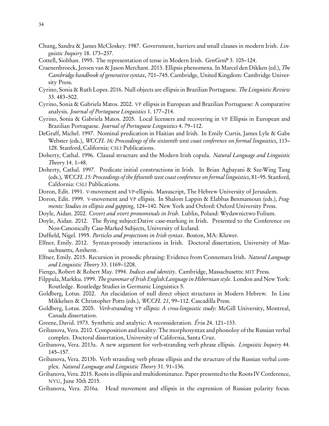- <span id="page-33-4"></span>Chung, Sandra & James McCloskey. 1987. Government, barriers and small clauses in modern Irish. Linguistic Inquiry 18. 173–237.
- <span id="page-33-23"></span>Cottell, Siobhan. 1995. The representation of tense in Modern Irish. GenGenP 3. 105–124.
- <span id="page-33-22"></span>Craenenbroeck, Jeroen van & Jason Merchant. 2013. Ellipsis phenomena. In Marcel den Dikken (ed.), The Cambridge handbook of generative syntax, 701–745. Cambridge, United Kingdom: Cambridge University Press.
- <span id="page-33-14"></span>Cyrino, Sonia & Ruth Lopes. 2016. Null objects are ellipsis in Brazilian Portuguese. The Linguistic Review 33. 483–502.
- <span id="page-33-17"></span>Cyrino, Sonia & Gabriela Matos. 2002. VP ellipsis in European and Brazilian Portuguese: A comparative analysis. Journal of Portuguese Linguistics 1. 177–214.
- <span id="page-33-18"></span>Cyrino, Sonia & Gabriela Matos. 2005. Local licensers and recovering in VP Ellipsis in European and Brazilian Portuguese. Journal of Portuguese Linguistics 4. 79–112.
- <span id="page-33-25"></span>DeGraff, Michel. 1997. Nominal predication in Haitian and Irish. In Emily Curtis, James Lyle & Gabe Webster (eds.), WCCFL 16: Proceedings of the sixteenth west coast conference on formal linguistics, 113– 128. Stanford, California: CSLI Publications.
- <span id="page-33-9"></span>Doherty, Cathal. 1996. Clausal structure and the Modern Irish copula. Natural Language and Linguistic Theory 14. 1–48.
- <span id="page-33-24"></span>Doherty, Cathal. 1997. Predicate initial constructions in Irish. In Brian Agbayani & Sze-Wing Tang (eds.), WCCFL 15: Proceedings of the fifteenth west coast conference on formal linguistics, 81–95. Stanford, California: CSLI Publications.
- <span id="page-33-15"></span>Doron, Edit. 1991. V-movement and VP-ellipsis. Manuscript, The Hebrew University of Jerusalem.
- <span id="page-33-16"></span>Doron, Edit. 1999. V-movement and VP ellipsis. In Shalom Lappin & Elabbas Benmamoun (eds.), Fragments: Studies in ellipsis and gapping, 124–140. New York and Oxford: Oxford University Press.
- <span id="page-33-7"></span>Doyle, Aidan. 2002. Covert and overt pronominals in Irish. Lublin, Poland: Wydawnictwo Folium.
- <span id="page-33-5"></span>Doyle, Aidan. 2012. The flying subject:Dative case-marking in Irish. Presented to the Conference on Non-Canonically Case-Marked Subjects, University of Iceland.
- <span id="page-33-3"></span>Duffield, Nigel. 1995. Particles and projections in Irish syntax. Boston, MA: Kluwer.
- <span id="page-33-0"></span>Elfner, Emily. 2012. Syntax-prosody interactions in Irish. Doctoral dissertation, University of Massachusetts, Amherst.
- <span id="page-33-1"></span>Elfner, Emily. 2015. Recursion in prosodic phrasing: Evidence from Connemara Irish. Natural Language and Linguistic Theory 33. 1169–1208.
- <span id="page-33-21"></span>Fiengo, Robert & Robert May. 1994. Indices and identity. Cambridge, Massachusetts: MIT Press.
- <span id="page-33-2"></span>Filppula, Markku. 1999. The grammar of Irish English:Language in Hibernian style. London and New York: Routledge. Routledge Studies in Germanic Linguistics 5.
- <span id="page-33-10"></span>Goldberg, Lotus. 2002. An elucidation of null direct object structures in Modern Hebrew. In Line Mikkelsen & Christopher Potts (eds.), WCCFL 21, 99–112. Cascadilla Press.
- <span id="page-33-11"></span>Goldberg, Lotus. 2005. *Verb-stranding VP ellipsis: A cross-linguistic study*: McGill University, Montreal, Canada dissertation.
- <span id="page-33-8"></span>Greene, David. 1973. Synthetic and analytic: A reconsideration. Ériu 24. 121–133.
- <span id="page-33-12"></span>Gribanova, Vera. 2010. Composition and locality: The morphosyntax and phonoloy of the Russian verbal complex. Doctoral dissertation, University of California, Santa Cruz.
- <span id="page-33-13"></span>Gribanova, Vera. 2013a. A new argument for verb-stranding verb phrase ellipsis. Linguistic Inquiry 44. 145–157.
- <span id="page-33-19"></span>Gribanova, Vera. 2013b. Verb stranding verb phrase ellipsis and the structure of the Russian verbal complex. Natural Language and Linguistic Theory 31. 91–136.
- <span id="page-33-20"></span>Gribanova, Vera. 2015. Roots in ellipsis and multidominance. Paper presented to the Roots IV Conference, NYU, June 30th 2015.
- <span id="page-33-6"></span>Gribanova, Vera. 2016a. Head movement and ellipsis in the expression of Russian polarity focus.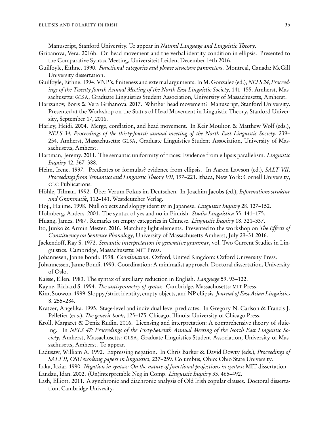Manuscript, Stanford University. To appear in Natural Language and Linguistic Theory.

- <span id="page-34-14"></span>Gribanova, Vera. 2016b. On head movement and the verbal identity condition in ellipsis. Presented to the Comparative Syntax Meeting, Universiteit Leiden, December 14th 2016.
- <span id="page-34-1"></span>Guilfoyle, Eithne. 1990. Functional categories and phrase structure parameters. Montreal, Canada: McGill University dissertation.
- <span id="page-34-2"></span>Guilfoyle, Eithne. 1994. VNP's, finiteness and external arguments. In M. Gonzalez (ed.), NELS 24, Proceedings of the Twenty-fourth Annual Meeting of the North East Linguistic Society, 141–155. Amherst, Massachusetts: GLSA, Graduate Linguistics Student Association, University of Massachusetts, Amherst.
- <span id="page-34-23"></span>Harizanov, Boris & Vera Gribanova. 2017. Whither head movement? Manuscript, Stanford University. Presented at the Workshop on the Status of Head Movement in Linguistic Theory, Stanford University, September 17, 2016.
- <span id="page-34-22"></span>Harley, Heidi. 2004. Merge, conflation, and head movement. In Keir Moulton & Matthew Wolf (eds.), NELS 34, Proceedings of the thirty-fourth annual meeting of the North East Linguistic Society, 239– 254. Amherst, Massachusetts: GLSA, Graduate Linguistics Student Association, University of Massachusetts, Amherst.
- <span id="page-34-19"></span>Hartman, Jeremy. 2011. The semantic uniformity of traces: Evidence from ellipsis parallelism. Linguistic Inquiry 42. 367–388.
- <span id="page-34-11"></span>Heim, Irene. 1997. Predicates or formulas? evidence from ellipsis. In Aaron Lawson (ed.), SALT VII, Proceedings from Semantics and Linguistic Theory VII, 197–221. Ithaca, New York: Cornell University, CLC Publications.
- <span id="page-34-8"></span>Höhle, Tilman. 1992. Über Verum-Fokus im Deutschen. In Joachim Jacobs (ed.), Informations-struktur und Grammatik, 112–141. Westdeutcher Verlag.
- <span id="page-34-16"></span>Hoji, Hajime. 1998. Null objects and sloppy identity in Japanese. *Linguistic Inquiry* 28. 127-152.
- <span id="page-34-10"></span>Holmberg, Anders. 2001. The syntax of yes and no in Finnish. Studia Linguistica 55. 141–175.
- <span id="page-34-15"></span>Huang, James. 1987. Remarks on empty categories in Chinese. Linguistic Inquiry 18. 321–337.
- <span id="page-34-13"></span>Ito, Junko & Armin Mester. 2016. Matching light elements. Presented to the workshop on The Effects of Constituency on Sentence Phonology, University of Massachusetts Amherst, July 29–31 2016.
- <span id="page-34-9"></span>Jackendoff, Ray S. 1972. Semantic interpretation in generative grammar, vol. Two Current Studies in Linguistics. Cambridge, Massachusetts: MIT Press.
- <span id="page-34-6"></span>Johannesen, Janne Bondi. 1998. Coordination. Oxford, United Kingdom: Oxford University Press.
- <span id="page-34-7"></span>Johannessen, Janne Bondi. 1993. Coordination: A minimalist approach. Doctoral dissertation, University of Oslo.
- <span id="page-34-12"></span>Kaisse, Ellen. 1983. The syntax of auxiliary reduction in English. *Language* 59.93–122.
- <span id="page-34-0"></span>Kayne, Richard S. 1994. The antisymmetry of syntax. Cambridge, Massachusetts: MIT Press.
- <span id="page-34-17"></span>Kim, Soowon. 1999. Sloppy/strict identity, empty objects, and NP ellipsis. Journal of East Asian Linguistics 8. 255–284.
- <span id="page-34-21"></span>Kratzer, Angelika. 1995. Stage-level and individual level predicates. In Gregory N. Carlson & Francis J. Pelletier (eds.), *The generic book*, 125–175. Chicago, Illinois: University of Chicago Press.
- <span id="page-34-18"></span>Kroll, Margaret & Deniz Rudin. 2016. Licensing and interpretation: A comprehensive theory of sluicing. In NELS 47: Proceedings of the Forty-Seventh Annual Meeting of the North East Linguistic Society, Amherst, Massachusetts: GLSA, Graduate Linguistics Student Association, University of Massachusetts, Amherst. To appear.
- <span id="page-34-4"></span>Ladusaw, William A. 1992. Expressing negation. In Chris Barker & David Dowty (eds.), Proceedings of SALT II, OSU working papers in linguistics, 237–259. Columbus, Ohio: Ohio State University.

<span id="page-34-3"></span>Laka, Itziar. 1990. Negation in syntax: On the nature of functional projections in syntax: MIT dissertation.

<span id="page-34-5"></span>Landau, Idan. 2002. (Un)interpretable Neg in Comp. Linguistic Inquiry 33. 465–492.

<span id="page-34-20"></span>Lash, Elliott. 2011. A synchronic and diachronic analysis of Old Irish copular clauses. Doctoral dissertation, Cambridge Univesity.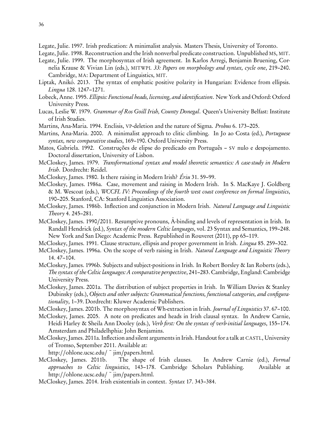<span id="page-35-20"></span>Legate, Julie. 1997. Irish predication: A minimalist analysis. Masters Thesis, University of Toronto.

<span id="page-35-21"></span>Legate, Julie. 1998. Reconstruction and the Irish nonverbal predicate construction. Unpublished MS, MIT.

<span id="page-35-13"></span>Legate, Julie. 1999. The morphosyntax of Irish agreement. In Karlos Arregi, Benjamin Bruening, Cornelia Krause & Vivian Lin (eds.), MITWPL 33: Papers on morphology and syntax, cycle one, 219–240.

- Cambridge, MA: Department of Linguistics, MIT.
- <span id="page-35-16"></span>Liptak, Anikó. 2013. The syntax of emphatic positive polarity in Hungarian: Evidence from ellipsis. Lingua 128. 1247–1271.
- <span id="page-35-15"></span>Lobeck, Anne. 1995. Ellipsis: Functional heads, licensing, and identification. New York and Oxford: Oxford University Press.
- <span id="page-35-14"></span>Lucas, Leslie W. 1979. Grammar of Ros Goill Irish, County Donegal. Queen's University Belfast: Institute of Irish Studies.
- <span id="page-35-10"></span>Martins, Ana-Maria. 1994. Enclisis, VP-deletion and the nature of Sigma. *Probus* 6. 173–205.

<span id="page-35-19"></span>Martins, Ana-Maria. 2000. A minimalist approach to clitic climbing. In Jo ao Costa (ed.), Portuguese syntax, new comparative studies, 169–190. Oxford University Press.

- <span id="page-35-17"></span>Matos, Gabriela. 1992. Construções de elipse do predicado em Português – SV nulo e despojamento. Doctoral dissertation, University of Lisbon.
- <span id="page-35-9"></span>McCloskey, James. 1979. Transformational syntax and model theoretic semantics: A case-study in Modern Irish. Dordrecht: Reidel.
- <span id="page-35-6"></span>McCloskey, James. 1980. Is there raising in Modern Irish? Ériu 31. 59–99.
- <span id="page-35-7"></span>McCloskey, James. 1986a. Case, movement and raising in Modern Irish. In S. MacKaye J. Goldberg & M. Wescoat (eds.), WCCFL IV: Proceedings of the fourth west coast conference on formal linguistics, 190–205. Stanford, CA: Stanford Linguistics Association.
- <span id="page-35-11"></span>McCloskey, James. 1986b. Inflection and conjunction in Modern Irish. Natural Language and Linguistic Theory 4. 245–281.
- <span id="page-35-22"></span>McCloskey, James. 1990/2011. Resumptive pronouns, A-binding and levels of representation in Irish. In ¯ Randall Hendrick (ed.), Syntax of the modern Celtic languages, vol. 23 Syntax and Semantics, 199–248. New York and San Diego: Academic Press. Republished in Rouveret (2011), pp 65–119.
- <span id="page-35-0"></span>McCloskey, James. 1991. Clause structure, ellipsis and proper government in Irish. Lingua 85. 259–302.
- <span id="page-35-2"></span>McCloskey, James. 1996a. On the scope of verb raising in Irish. Natural Language and Linguistic Theory 14. 47–104.
- <span id="page-35-3"></span>McCloskey, James. 1996b. Subjects and subject-positions in Irish. In Robert Borsley & Ian Roberts (eds.), The syntax of the Celtic languages: A comparative perspective, 241–283. Cambridge, England: Cambridge University Press.
- <span id="page-35-4"></span>McCloskey, James. 2001a. The distribution of subject properties in Irish. In William Davies & Stanley Dubinsky (eds.), Objects and other subjects: Grammatical functions, functional categories, and configurationality, 1–39. Dordrecht: Kluwer Academic Publishers.
- <span id="page-35-8"></span>McCloskey, James. 2001b. The morphosyntax of Wh-extraction in Irish. Journal of Linguistics 37. 67–100.
- <span id="page-35-18"></span>McCloskey, James. 2005. A note on predicates and heads in Irish clausal syntax. In Andrew Carnie, Heidi Harley & Sheila Ann Dooley (eds.), Verb first: On the syntax of verb-initial languages, 155–174. Amsterdam and Philadelhphia: John Benjamins.
- <span id="page-35-12"></span>McCloskey, James. 2011a. Inflection and silent arguments in Irish. Handout for a talk at CASTL, University of Tromso, September 2011. Available at:

http://[ohlone.ucsc.edu](http://ohlone.ucsc.edu/~jim/papers.html)/ $\tilde{\text{}}$  jim/papers.html.

- <span id="page-35-1"></span>McCloskey, James. 2011b. The shape of Irish clauses. In Andrew Carnie (ed.), Formal approaches to Celtic linguistics, 143–178. Cambridge Scholars Publishing. Available at http://[ohlone.ucsc.edu](http://ohlone.ucsc.edu/~jim/papers.html)/~jim/papers.html.
- <span id="page-35-5"></span>McCloskey, James. 2014. Irish existentials in context. Syntax 17. 343–384.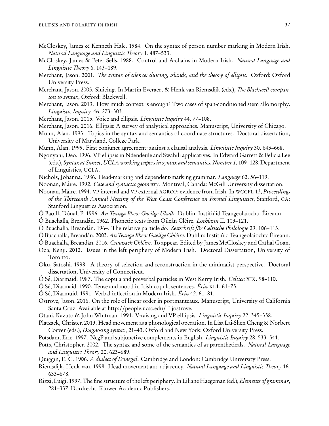- <span id="page-36-7"></span>McCloskey, James & Kenneth Hale. 1984. On the syntax of person number marking in Modern Irish. Natural Language and Linguistic Theory 1. 487–533.
- <span id="page-36-1"></span>McCloskey, James & Peter Sells. 1988. Control and A-chains in Modern Irish. Natural Language and Linguistic Theory 6. 143–189.
- <span id="page-36-15"></span>Merchant, Jason. 2001. The syntax of silence: sluicing, islands, and the theory of ellipsis. Oxford: Oxford University Press.
- <span id="page-36-20"></span>Merchant, Jason. 2005. Sluicing. In Martin Everaert & Henk van Riemsdijk (eds.), The Blackwell companion to syntax, Oxford: Blackwell.
- <span id="page-36-29"></span>Merchant, Jason. 2013. How much context is enough? Two cases of span-conditioned stem allomorphy. Linguistic Inquiry. 46. 273–303.
- <span id="page-36-19"></span>Merchant, Jason. 2015. Voice and ellipsis. *Linguistic Inquiry* 44.77-108.
- <span id="page-36-21"></span>Merchant, Jason. 2016. Ellipsis: A survey of analytical approaches. Manuscript, University of Chicago.
- <span id="page-36-9"></span>Munn, Alan. 1993. Topics in the syntax and semantics of coordinate structures. Doctoral dissertation, University of Maryland, College Park.
- <span id="page-36-8"></span>Munn, Alan. 1999. First conjunct agreement: against a clausal analysis. *Linguistic Inquiry* 30. 643–668.
- <span id="page-36-16"></span>Ngonyani, Deo. 1996. VP ellipsis in Ndendeule and Swahili applicatives. In Edward Garrett & Felicia Lee (eds.), Syntax at Sunset, UCLA working papers in syntax and semantics, Number 1, 109–128. Department of Linguistics, UCLA.
- <span id="page-36-10"></span>Nichols, Johanna. 1986. Head-marking and dependent-marking grammar. Language 62. 56–119.
- <span id="page-36-2"></span>Noonan, Máire. 1992. Case and syntactic geometry. Montreal, Canada: McGill University dissertation.
- <span id="page-36-3"></span>Noonan, Máire. 1994. VP internal and VP external AGROP: evidence from Irish. In WCCFL 13, Proceedings of the Thirteenth Annual Meeting of the West Coast Conference on Formal Linguistics, Stanford, CA: Stanford Linguistics Association.
- <span id="page-36-13"></span>Ó Baoill, Dónall P. 1996. An Teanga Bheo: Gaeilge Uladh. Dublin: Institiúid Teangeolaíochta Éireann.
- <span id="page-36-22"></span>Ó Buachalla, Breandán. 1962. Phonetic texts from Oileán Cléire. Lochlann II. 103–121.
- <span id="page-36-23"></span>Ó Buachalla, Breandán. 1964. The relative particle do. Zeitschrift für Celtische Philologie 29. 106–113.
- <span id="page-36-24"></span>Ó Buachalla, Breandán. 2003. An Teanga Bheo: Gaeilge Chléire. Dublin: Institiúid Teangeolaíochta Éireann.
- <span id="page-36-25"></span>Ó Buachalla, Breandán. 2016. Cnuasach Chléire. To appear. Edited by James McCloskey and Cathal Goan.
- <span id="page-36-5"></span>Oda, Kenji. 2012. Issues in the left periphery of Modern Irish. Doctoral Dissertation, University of Toronto.
- <span id="page-36-18"></span>Oku, Satoshi. 1998. A theory of selection and reconstruction in the minimalist perspective. Doctoral dissertation, University of Connecticut.
- <span id="page-36-26"></span>Ó Sé, Diarmaid. 1987. The copula and preverbal particles in West Kerry Irish. Celtica XIX. 98–110.
- <span id="page-36-27"></span>Ó Sé, Diarmaid. 1990. Tense and mood in Irish copula sentences. Ériu XL1. 61–75.
- <span id="page-36-11"></span>Ó Sé, Diarmuid. 1991. Verbal inflection in Modern Irish. Ériu 42. 61–81.
- <span id="page-36-0"></span>Ostrove, Jason. 2016. On the role of linear order in portmanteaux. Manuscript, University of California Santa Cruz. Available at http://[people.ucsc.edu](http://people.ucsc.edu/~jostrove)/ <sup>~</sup> jostrove.
- <span id="page-36-17"></span>Otani, Kazuto & John Whitman. 1991. V-raising and VP elllipsis. Linguistic Inquiry 22. 345–358.
- <span id="page-36-28"></span>Platzack, Christer. 2013. Head movement as a phonological operation. In Lisa Lai-Shen Cheng & Norbert Corver (eds.), Diagnosing syntax, 21–43. Oxford and New York: Oxford University Press.
- <span id="page-36-14"></span>Potsdam, Eric. 1997. NegP and subjunctive complements in English. *Linguistic Inquiry* 28. 533–541.
- <span id="page-36-6"></span>Potts, Christopher. 2002. The syntax and some of the semantics of as-parentheticals. Natural Language and Linguistic Theory 20. 623–689.
- <span id="page-36-12"></span>Quiggin, E. C. 1906. A dialect of Donegal. Cambridge and London: Cambridge University Press.
- <span id="page-36-30"></span>Riemsdijk, Henk van. 1998. Head movement and adjacency. Natural Language and Linguistic Theory 16. 633–678.
- <span id="page-36-4"></span>Rizzi, Luigi. 1997. The fine structure of the left periphery. In Liliane Haegeman (ed.), Elements of grammar, 281–337. Dordrecht: Kluwer Academic Publishers.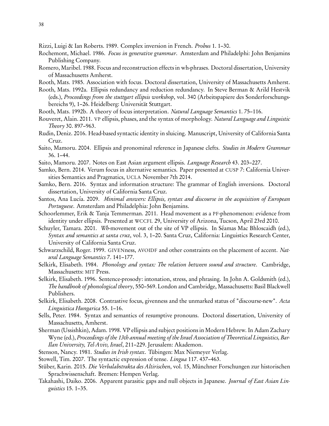<span id="page-37-24"></span>Rizzi, Luigi & Ian Roberts. 1989. Complex inversion in French. Probus 1. 1–30.

- <span id="page-37-3"></span>Rochemont, Michael. 1986. Focus in generative grammar. Amsterdam and Philadelphi: John Benjamins Publishing Company.
- <span id="page-37-10"></span>Romero, Maribel. 1988. Focus and reconstruction effects in wh-phrases. Doctoral dissertation, University of Massachusetts Amherst.

<span id="page-37-6"></span>Rooth, Mats. 1985. Association with focus. Doctoral dissertation, University of Massachusetts Amherst.

- <span id="page-37-7"></span>Rooth, Mats. 1992a. Ellipsis redundancy and reduction redundancy. In Steve Berman & Arild Hestvik (eds.), Proceedings from the stuttgart ellipsis workshop, vol. 340 (Arbeitspapiere des Sonderforschungsbereichs 9), 1–26. Heidelberg: Universität Stuttgart.
- <span id="page-37-8"></span>Rooth, Mats. 1992b. A theory of focus interpretation. Natural Language Semantics 1. 75–116.
- <span id="page-37-15"></span>Rouveret, Alain. 2011. VP ellipsis, phases, and the syntax of morphology. Natural Language and Linguistic Theory 30. 897–963.
- <span id="page-37-19"></span>Rudin, Deniz. 2016. Head-based syntactic identity in sluicing. Manuscript, University of California Santa Cruz.
- <span id="page-37-16"></span>Saito, Mamoru. 2004. Ellipsis and pronominal reference in Japanese clefts. Studies in Modern Grammar 36. 1–44.
- <span id="page-37-17"></span>Saito, Mamoru. 2007. Notes on East Asian argument ellipsis. Language Research 43. 203–227.
- <span id="page-37-1"></span>Samko, Bern. 2014. Verum focus in alternative semantics. Paper presented at CUSP 7: California Universities Semantics and Pragmatics, UCLA November 7th 2014.
- <span id="page-37-2"></span>Samko, Bern. 2016. Syntax and information structure: The grammar of English inversions. Doctoral dissertation, University of California Santa Cruz.
- <span id="page-37-13"></span>Santos, Ana Lucía. 2009. Minimal answers: Ellipsis, syntax and discourse in the acquisition of European Portuguese. Amsterdam and Philadelphia: John Benjamins.
- <span id="page-37-14"></span>Schoorlemmer, Erik & Tanja Temmerman. 2011. Head movement as a PF-phenomenon: evidence from identity under ellipsis. Presented at WCCFL 29, University of Arizona, Tucson, April 23rd 2010.
- <span id="page-37-20"></span>Schuyler, Tamara. 2001. Wh-movement out of the site of VP ellipsis. In Séamas Mac Bhloscaidh (ed.), Syntax and semantics at santa cruz, vol. 3, 1–20. Santa Cruz, California: Linguistics Research Center, University of California Santa Cruz.
- <span id="page-37-9"></span>Schwarzschild, Roger. 1999. GIVENness, AVOIDF and other constraints on the placement of accent. Natural Language Semantics 7. 141–177.
- <span id="page-37-11"></span>Selkirk, Elisabeth. 1984. Phonology and syntax: The relation between sound and structure. Cambridge, Massachusetts: MIT Press.
- <span id="page-37-4"></span>Selkirk, Elisabeth. 1996. Sentence-prosody: intonation, stress, and phrasing. In John A. Goldsmith (ed.), The handbook of phonological theory, 550–569. London and Cambridge, Massachusetts: Basil Blackwell Publishers.
- <span id="page-37-5"></span>Selkirk, Elisabeth. 2008. Contrastive focus, givenness and the unmarked status of "discourse-new". Acta Linguistica Hungarica 55. 1–16.
- <span id="page-37-21"></span>Sells, Peter. 1984. Syntax and semantics of resumptive pronouns. Doctoral dissertation, University of Massachusetts, Amherst.
- <span id="page-37-12"></span>Sherman (Ussishkin), Adam. 1998. VP ellipsis and subject positions in Modern Hebrew. In Adam Zachary Wyne (ed.), Proceedings of the 13th annual meeting of the Israel Association of Theoretical Linguistics, Bar-Ilan University, Tel-Aviv, Israel, 211–229. Jerusalem: Akademon.
- <span id="page-37-22"></span>Stenson, Nancy. 1981. Studies in Irish syntax. Tübingen: Max Niemeyer Verlag.
- <span id="page-37-23"></span>Stowell, Tim. 2007. The syntactic expression of tense. Lingua 117. 437–463.
- <span id="page-37-0"></span>Stüber, Karin. 2015. Die Verbalabstrakta des Altirischen, vol. 15, Münchner Forschungen zur historischen Sprachwissenschaft. Bremen: Hempen Verlag.
- <span id="page-37-18"></span>Takahashi, Daiko. 2006. Apparent parasitic gaps and null objects in Japanese. Journal of East Asian Linguistics 15. 1–35.